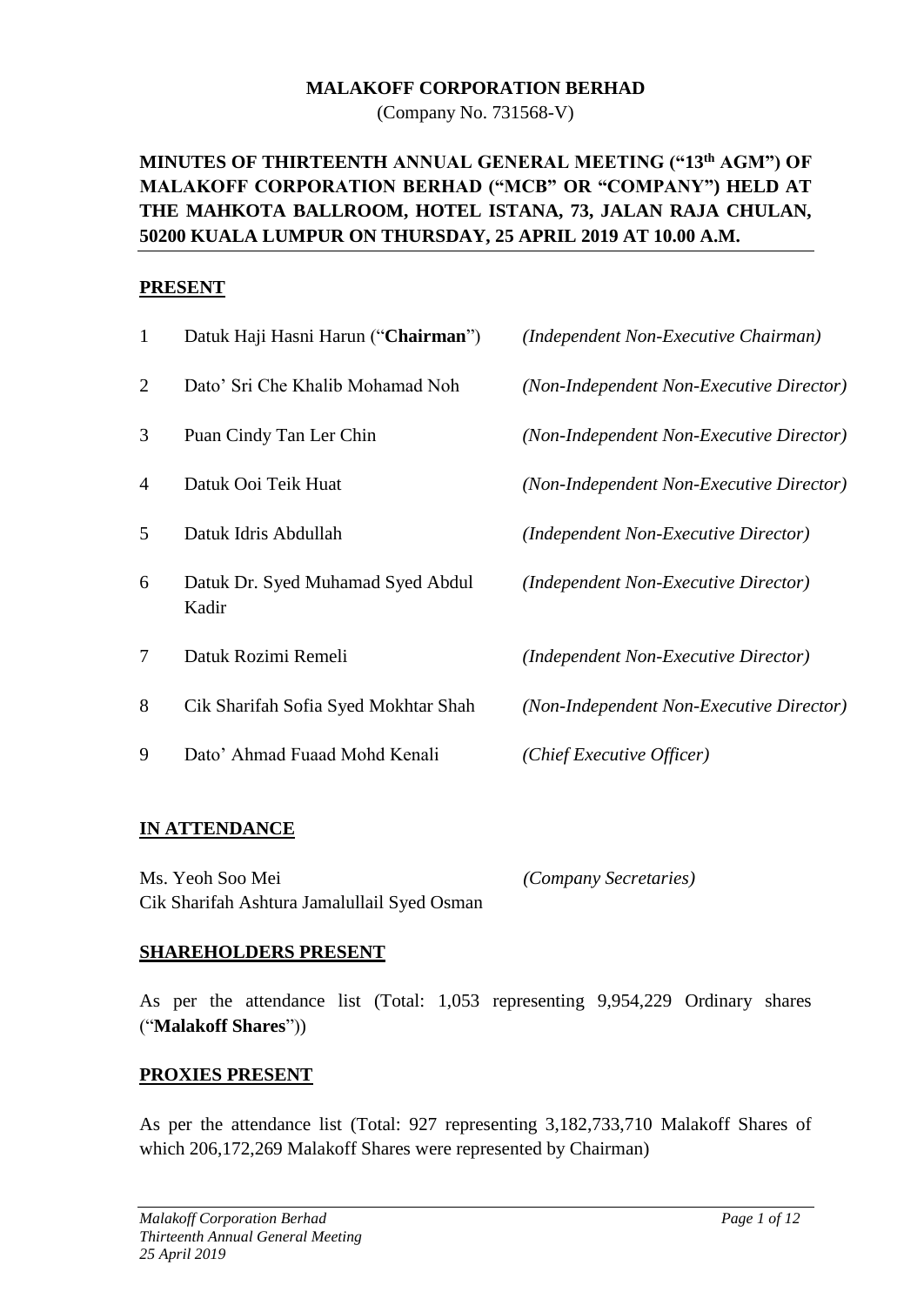#### **MALAKOFF CORPORATION BERHAD**

(Company No. 731568-V)

# **MINUTES OF THIRTEENTH ANNUAL GENERAL MEETING ("13th AGM") OF MALAKOFF CORPORATION BERHAD ("MCB" OR "COMPANY") HELD AT THE MAHKOTA BALLROOM, HOTEL ISTANA, 73, JALAN RAJA CHULAN, 50200 KUALA LUMPUR ON THURSDAY, 25 APRIL 2019 AT 10.00 A.M.**

#### **PRESENT**

| $\mathbf{1}$   | Datuk Haji Hasni Harun ("Chairman")        | (Independent Non-Executive Chairman)     |
|----------------|--------------------------------------------|------------------------------------------|
| $\overline{2}$ | Dato' Sri Che Khalib Mohamad Noh           | (Non-Independent Non-Executive Director) |
| 3              | Puan Cindy Tan Ler Chin                    | (Non-Independent Non-Executive Director) |
| 4              | Datuk Ooi Teik Huat                        | (Non-Independent Non-Executive Director) |
| 5              | Datuk Idris Abdullah                       | (Independent Non-Executive Director)     |
| 6              | Datuk Dr. Syed Muhamad Syed Abdul<br>Kadir | (Independent Non-Executive Director)     |
| $\overline{7}$ | Datuk Rozimi Remeli                        | (Independent Non-Executive Director)     |
| 8              | Cik Sharifah Sofia Syed Mokhtar Shah       | (Non-Independent Non-Executive Director) |
| 9              | Dato' Ahmad Fuaad Mohd Kenali              | (Chief Executive Officer)                |
|                |                                            |                                          |

#### **IN ATTENDANCE**

Ms. Yeoh Soo Mei *(Company Secretaries)* Cik Sharifah Ashtura Jamalullail Syed Osman

#### **SHAREHOLDERS PRESENT**

As per the attendance list (Total: 1,053 representing 9,954,229 Ordinary shares ("**Malakoff Shares**"))

#### **PROXIES PRESENT**

As per the attendance list (Total: 927 representing 3,182,733,710 Malakoff Shares of which 206,172,269 Malakoff Shares were represented by Chairman)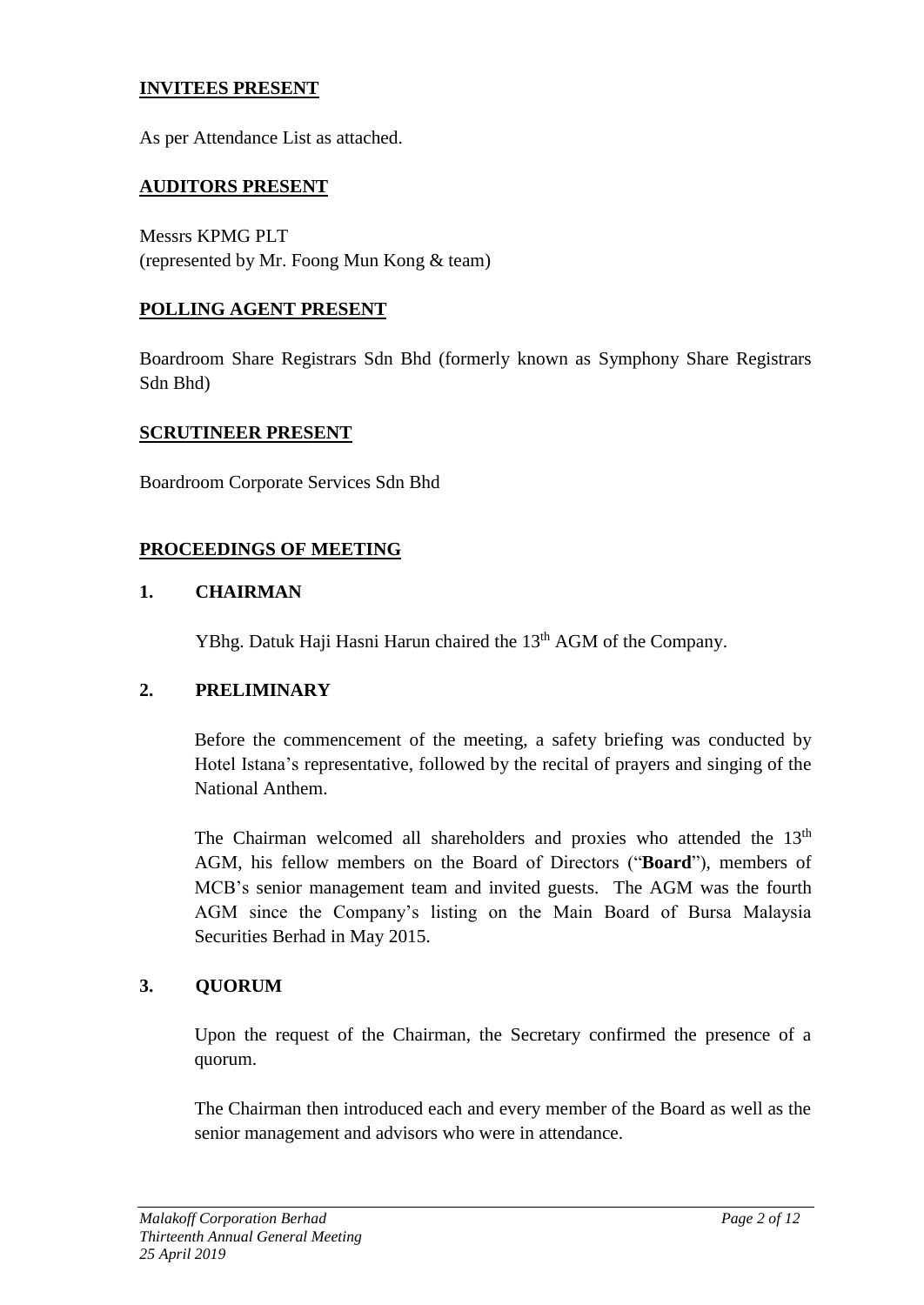### **INVITEES PRESENT**

As per Attendance List as attached.

### **AUDITORS PRESENT**

Messrs KPMG PLT (represented by Mr. Foong Mun Kong & team)

### **POLLING AGENT PRESENT**

Boardroom Share Registrars Sdn Bhd (formerly known as Symphony Share Registrars Sdn Bhd)

#### **SCRUTINEER PRESENT**

Boardroom Corporate Services Sdn Bhd

## **PROCEEDINGS OF MEETING**

#### **1. CHAIRMAN**

YBhg. Datuk Haji Hasni Harun chaired the 13<sup>th</sup> AGM of the Company.

#### **2. PRELIMINARY**

Before the commencement of the meeting, a safety briefing was conducted by Hotel Istana's representative, followed by the recital of prayers and singing of the National Anthem.

The Chairman welcomed all shareholders and proxies who attended the 13<sup>th</sup> AGM, his fellow members on the Board of Directors ("**Board**"), members of MCB's senior management team and invited guests. The AGM was the fourth AGM since the Company's listing on the Main Board of Bursa Malaysia Securities Berhad in May 2015.

#### **3. QUORUM**

Upon the request of the Chairman, the Secretary confirmed the presence of a quorum.

The Chairman then introduced each and every member of the Board as well as the senior management and advisors who were in attendance.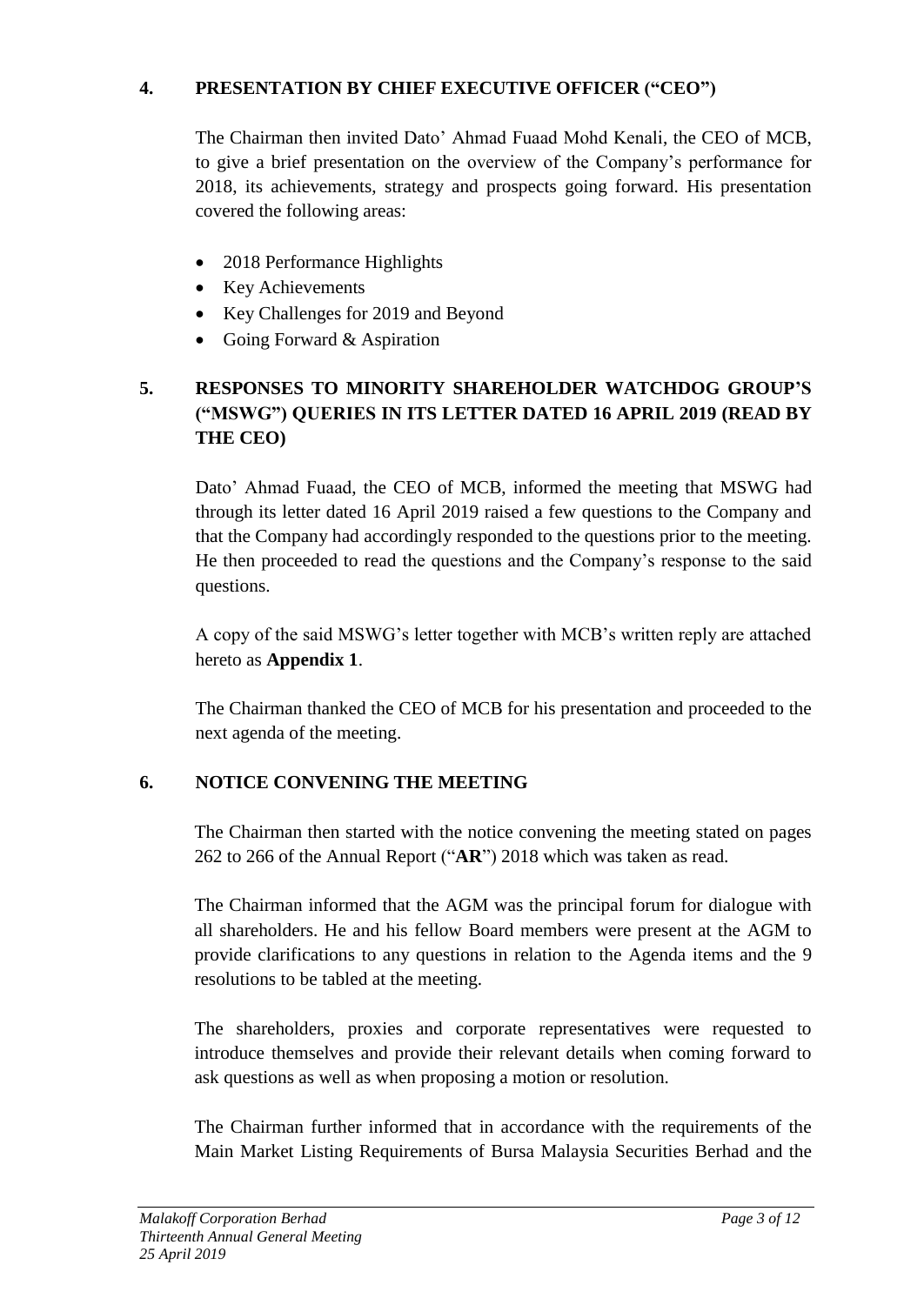## **4. PRESENTATION BY CHIEF EXECUTIVE OFFICER ("CEO")**

The Chairman then invited Dato' Ahmad Fuaad Mohd Kenali, the CEO of MCB, to give a brief presentation on the overview of the Company's performance for 2018, its achievements, strategy and prospects going forward. His presentation covered the following areas:

- 2018 Performance Highlights
- Key Achievements
- Key Challenges for 2019 and Beyond
- Going Forward & Aspiration

# **5. RESPONSES TO MINORITY SHAREHOLDER WATCHDOG GROUP'S ("MSWG") QUERIES IN ITS LETTER DATED 16 APRIL 2019 (READ BY THE CEO)**

Dato' Ahmad Fuaad, the CEO of MCB, informed the meeting that MSWG had through its letter dated 16 April 2019 raised a few questions to the Company and that the Company had accordingly responded to the questions prior to the meeting. He then proceeded to read the questions and the Company's response to the said questions.

A copy of the said MSWG's letter together with MCB's written reply are attached hereto as **Appendix 1**.

The Chairman thanked the CEO of MCB for his presentation and proceeded to the next agenda of the meeting.

# **6. NOTICE CONVENING THE MEETING**

The Chairman then started with the notice convening the meeting stated on pages 262 to 266 of the Annual Report ("**AR**") 2018 which was taken as read.

The Chairman informed that the AGM was the principal forum for dialogue with all shareholders. He and his fellow Board members were present at the AGM to provide clarifications to any questions in relation to the Agenda items and the 9 resolutions to be tabled at the meeting.

The shareholders, proxies and corporate representatives were requested to introduce themselves and provide their relevant details when coming forward to ask questions as well as when proposing a motion or resolution.

The Chairman further informed that in accordance with the requirements of the Main Market Listing Requirements of Bursa Malaysia Securities Berhad and the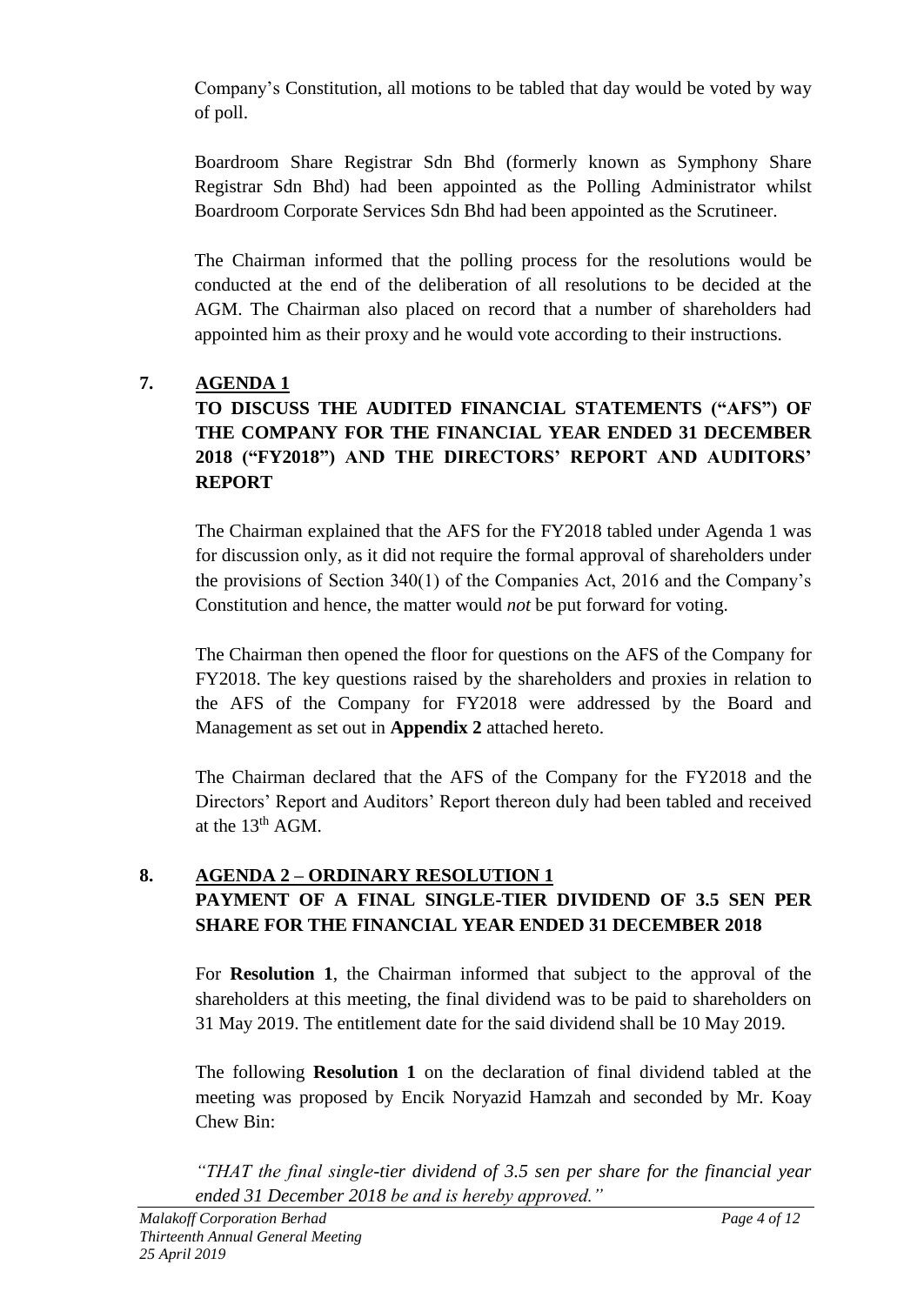Company's Constitution, all motions to be tabled that day would be voted by way of poll.

Boardroom Share Registrar Sdn Bhd (formerly known as Symphony Share Registrar Sdn Bhd) had been appointed as the Polling Administrator whilst Boardroom Corporate Services Sdn Bhd had been appointed as the Scrutineer.

The Chairman informed that the polling process for the resolutions would be conducted at the end of the deliberation of all resolutions to be decided at the AGM. The Chairman also placed on record that a number of shareholders had appointed him as their proxy and he would vote according to their instructions.

# **7. AGENDA 1**

# **TO DISCUSS THE AUDITED FINANCIAL STATEMENTS ("AFS") OF THE COMPANY FOR THE FINANCIAL YEAR ENDED 31 DECEMBER 2018 ("FY2018") AND THE DIRECTORS' REPORT AND AUDITORS' REPORT**

The Chairman explained that the AFS for the FY2018 tabled under Agenda 1 was for discussion only, as it did not require the formal approval of shareholders under the provisions of Section 340(1) of the Companies Act, 2016 and the Company's Constitution and hence, the matter would *not* be put forward for voting.

The Chairman then opened the floor for questions on the AFS of the Company for FY2018. The key questions raised by the shareholders and proxies in relation to the AFS of the Company for FY2018 were addressed by the Board and Management as set out in **Appendix 2** attached hereto.

The Chairman declared that the AFS of the Company for the FY2018 and the Directors' Report and Auditors' Report thereon duly had been tabled and received at the  $13<sup>th</sup>$  AGM.

# **8. AGENDA 2 – ORDINARY RESOLUTION 1 PAYMENT OF A FINAL SINGLE-TIER DIVIDEND OF 3.5 SEN PER SHARE FOR THE FINANCIAL YEAR ENDED 31 DECEMBER 2018**

For **Resolution 1**, the Chairman informed that subject to the approval of the shareholders at this meeting, the final dividend was to be paid to shareholders on 31 May 2019. The entitlement date for the said dividend shall be 10 May 2019.

The following **Resolution 1** on the declaration of final dividend tabled at the meeting was proposed by Encik Noryazid Hamzah and seconded by Mr. Koay Chew Bin:

*"THAT the final single-tier dividend of 3.5 sen per share for the financial year ended 31 December 2018 be and is hereby approved."*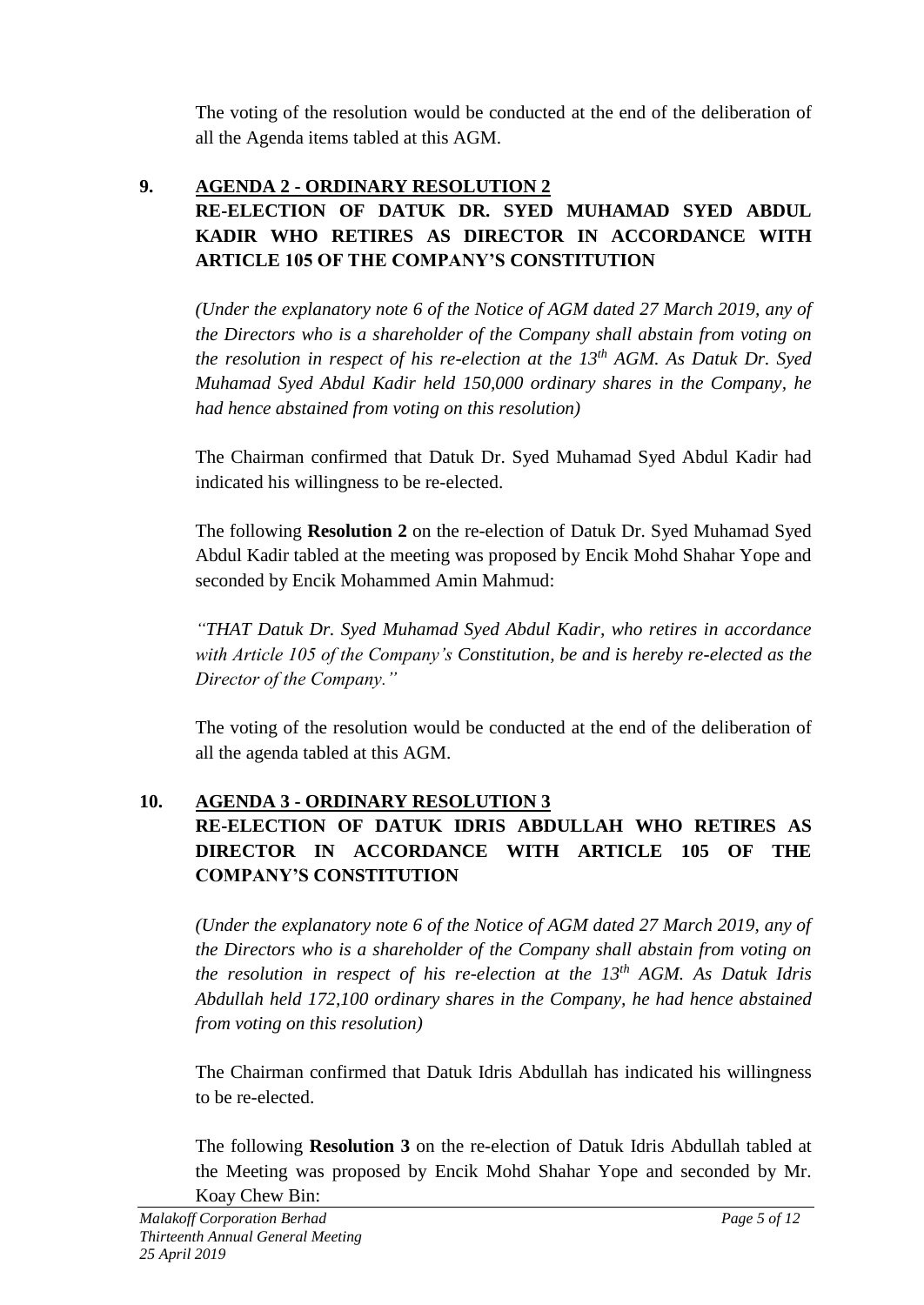The voting of the resolution would be conducted at the end of the deliberation of all the Agenda items tabled at this AGM.

## **9. AGENDA 2 - ORDINARY RESOLUTION 2 RE-ELECTION OF DATUK DR. SYED MUHAMAD SYED ABDUL KADIR WHO RETIRES AS DIRECTOR IN ACCORDANCE WITH ARTICLE 105 OF THE COMPANY'S CONSTITUTION**

*(Under the explanatory note 6 of the Notice of AGM dated 27 March 2019, any of the Directors who is a shareholder of the Company shall abstain from voting on the resolution in respect of his re-election at the 13th AGM. As Datuk Dr. Syed Muhamad Syed Abdul Kadir held 150,000 ordinary shares in the Company, he had hence abstained from voting on this resolution)*

The Chairman confirmed that Datuk Dr. Syed Muhamad Syed Abdul Kadir had indicated his willingness to be re-elected.

The following **Resolution 2** on the re-election of Datuk Dr. Syed Muhamad Syed Abdul Kadir tabled at the meeting was proposed by Encik Mohd Shahar Yope and seconded by Encik Mohammed Amin Mahmud:

*"THAT Datuk Dr. Syed Muhamad Syed Abdul Kadir, who retires in accordance with Article 105 of the Company's Constitution, be and is hereby re-elected as the Director of the Company."* 

The voting of the resolution would be conducted at the end of the deliberation of all the agenda tabled at this AGM.

# **10. AGENDA 3 - ORDINARY RESOLUTION 3 RE-ELECTION OF DATUK IDRIS ABDULLAH WHO RETIRES AS DIRECTOR IN ACCORDANCE WITH ARTICLE 105 OF THE COMPANY'S CONSTITUTION**

*(Under the explanatory note 6 of the Notice of AGM dated 27 March 2019, any of the Directors who is a shareholder of the Company shall abstain from voting on the resolution in respect of his re-election at the 13th AGM. As Datuk Idris Abdullah held 172,100 ordinary shares in the Company, he had hence abstained from voting on this resolution)*

The Chairman confirmed that Datuk Idris Abdullah has indicated his willingness to be re-elected.

The following **Resolution 3** on the re-election of Datuk Idris Abdullah tabled at the Meeting was proposed by Encik Mohd Shahar Yope and seconded by Mr. Koay Chew Bin: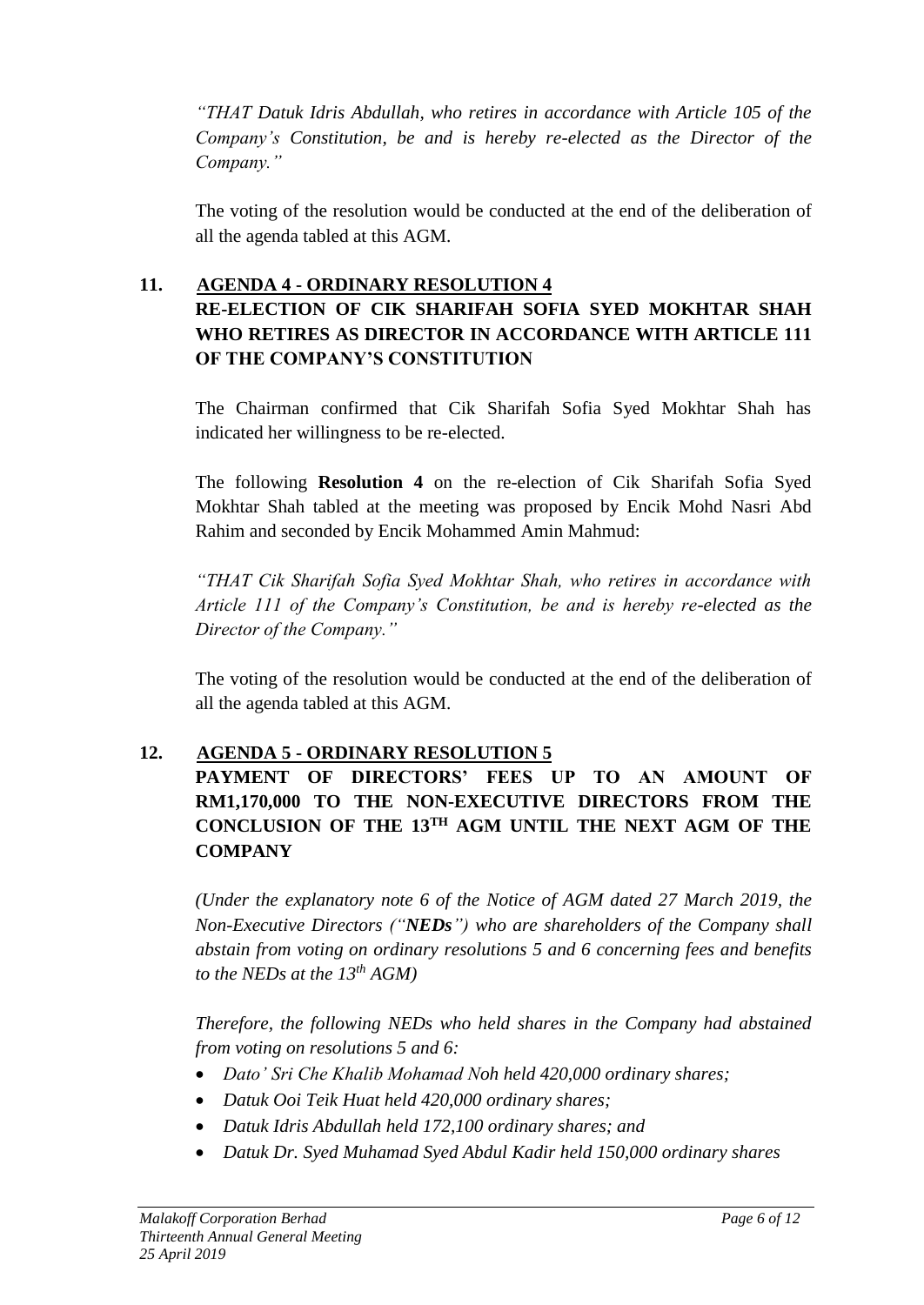*"THAT Datuk Idris Abdullah, who retires in accordance with Article 105 of the Company's Constitution, be and is hereby re-elected as the Director of the Company."* 

The voting of the resolution would be conducted at the end of the deliberation of all the agenda tabled at this AGM.

## **11. AGENDA 4 - ORDINARY RESOLUTION 4 RE-ELECTION OF CIK SHARIFAH SOFIA SYED MOKHTAR SHAH WHO RETIRES AS DIRECTOR IN ACCORDANCE WITH ARTICLE 111 OF THE COMPANY'S CONSTITUTION**

The Chairman confirmed that Cik Sharifah Sofia Syed Mokhtar Shah has indicated her willingness to be re-elected.

The following **Resolution 4** on the re-election of Cik Sharifah Sofia Syed Mokhtar Shah tabled at the meeting was proposed by Encik Mohd Nasri Abd Rahim and seconded by Encik Mohammed Amin Mahmud:

*"THAT Cik Sharifah Sofia Syed Mokhtar Shah, who retires in accordance with Article 111 of the Company's Constitution, be and is hereby re-elected as the Director of the Company."* 

The voting of the resolution would be conducted at the end of the deliberation of all the agenda tabled at this AGM.

# **12. AGENDA 5 - ORDINARY RESOLUTION 5**

**PAYMENT OF DIRECTORS' FEES UP TO AN AMOUNT OF RM1,170,000 TO THE NON-EXECUTIVE DIRECTORS FROM THE CONCLUSION OF THE 13TH AGM UNTIL THE NEXT AGM OF THE COMPANY** 

*(Under the explanatory note 6 of the Notice of AGM dated 27 March 2019, the Non-Executive Directors ("NEDs") who are shareholders of the Company shall abstain from voting on ordinary resolutions 5 and 6 concerning fees and benefits to the NEDs at the 13 th AGM)*

*Therefore, the following NEDs who held shares in the Company had abstained from voting on resolutions 5 and 6:* 

- *Dato' Sri Che Khalib Mohamad Noh held 420,000 ordinary shares;*
- *Datuk Ooi Teik Huat held 420,000 ordinary shares;*
- *Datuk Idris Abdullah held 172,100 ordinary shares; and*
- *Datuk Dr. Syed Muhamad Syed Abdul Kadir held 150,000 ordinary shares*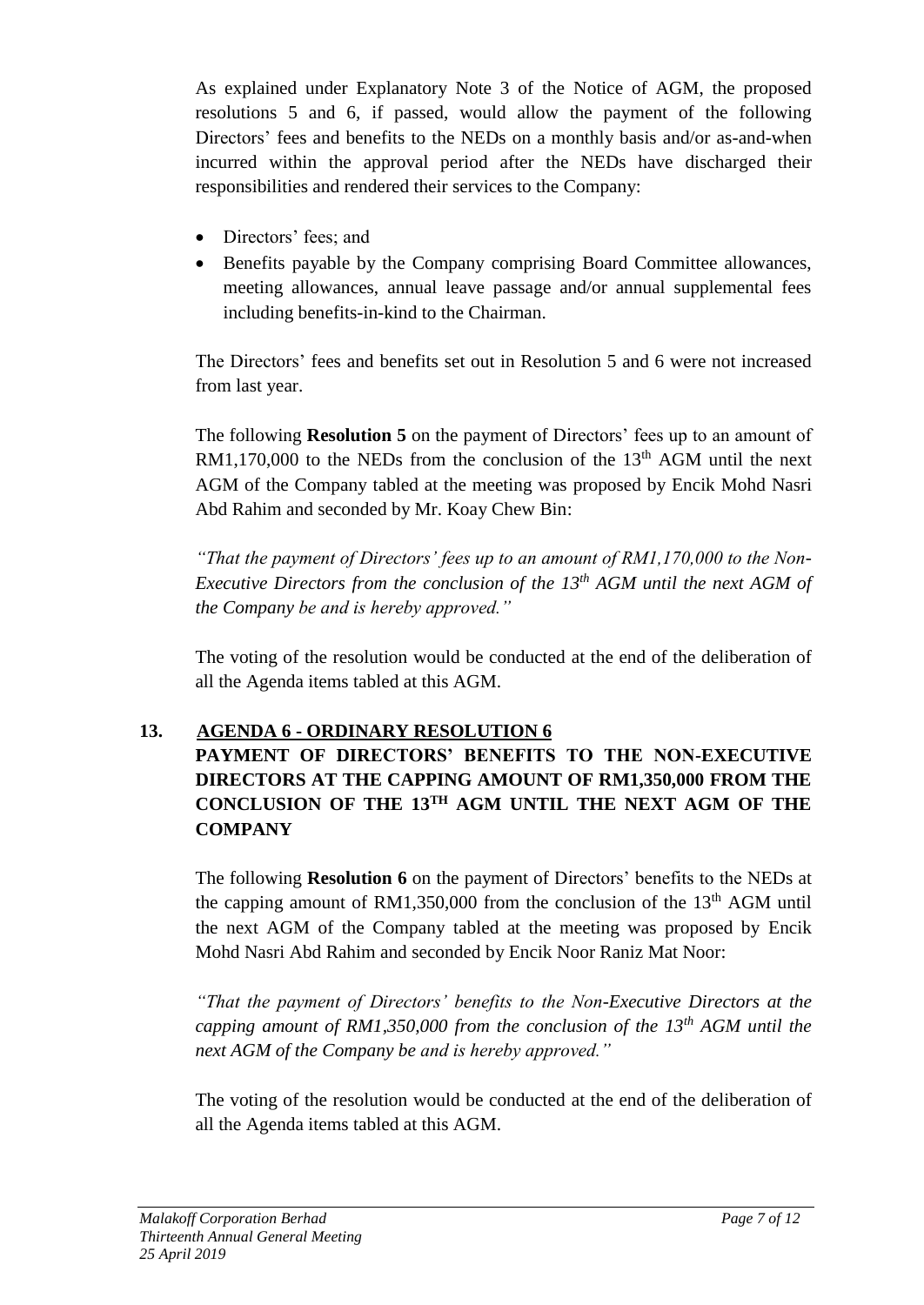As explained under Explanatory Note 3 of the Notice of AGM, the proposed resolutions 5 and 6, if passed, would allow the payment of the following Directors' fees and benefits to the NEDs on a monthly basis and/or as-and-when incurred within the approval period after the NEDs have discharged their responsibilities and rendered their services to the Company:

- Directors' fees; and
- Benefits payable by the Company comprising Board Committee allowances, meeting allowances, annual leave passage and/or annual supplemental fees including benefits-in-kind to the Chairman.

The Directors' fees and benefits set out in Resolution 5 and 6 were not increased from last year.

The following **Resolution 5** on the payment of Directors' fees up to an amount of RM1,170,000 to the NEDs from the conclusion of the  $13<sup>th</sup>$  AGM until the next AGM of the Company tabled at the meeting was proposed by Encik Mohd Nasri Abd Rahim and seconded by Mr. Koay Chew Bin:

*"That the payment of Directors' fees up to an amount of RM1,170,000 to the Non-Executive Directors from the conclusion of the 13th AGM until the next AGM of the Company be and is hereby approved."*

The voting of the resolution would be conducted at the end of the deliberation of all the Agenda items tabled at this AGM.

# **13. AGENDA 6 - ORDINARY RESOLUTION 6 PAYMENT OF DIRECTORS' BENEFITS TO THE NON-EXECUTIVE DIRECTORS AT THE CAPPING AMOUNT OF RM1,350,000 FROM THE CONCLUSION OF THE 13TH AGM UNTIL THE NEXT AGM OF THE COMPANY**

The following **Resolution 6** on the payment of Directors' benefits to the NEDs at the capping amount of RM1,350,000 from the conclusion of the  $13<sup>th</sup>$  AGM until the next AGM of the Company tabled at the meeting was proposed by Encik Mohd Nasri Abd Rahim and seconded by Encik Noor Raniz Mat Noor:

*"That the payment of Directors' benefits to the Non-Executive Directors at the capping amount of RM1,350,000 from the conclusion of the 13th AGM until the next AGM of the Company be and is hereby approved."*

The voting of the resolution would be conducted at the end of the deliberation of all the Agenda items tabled at this AGM.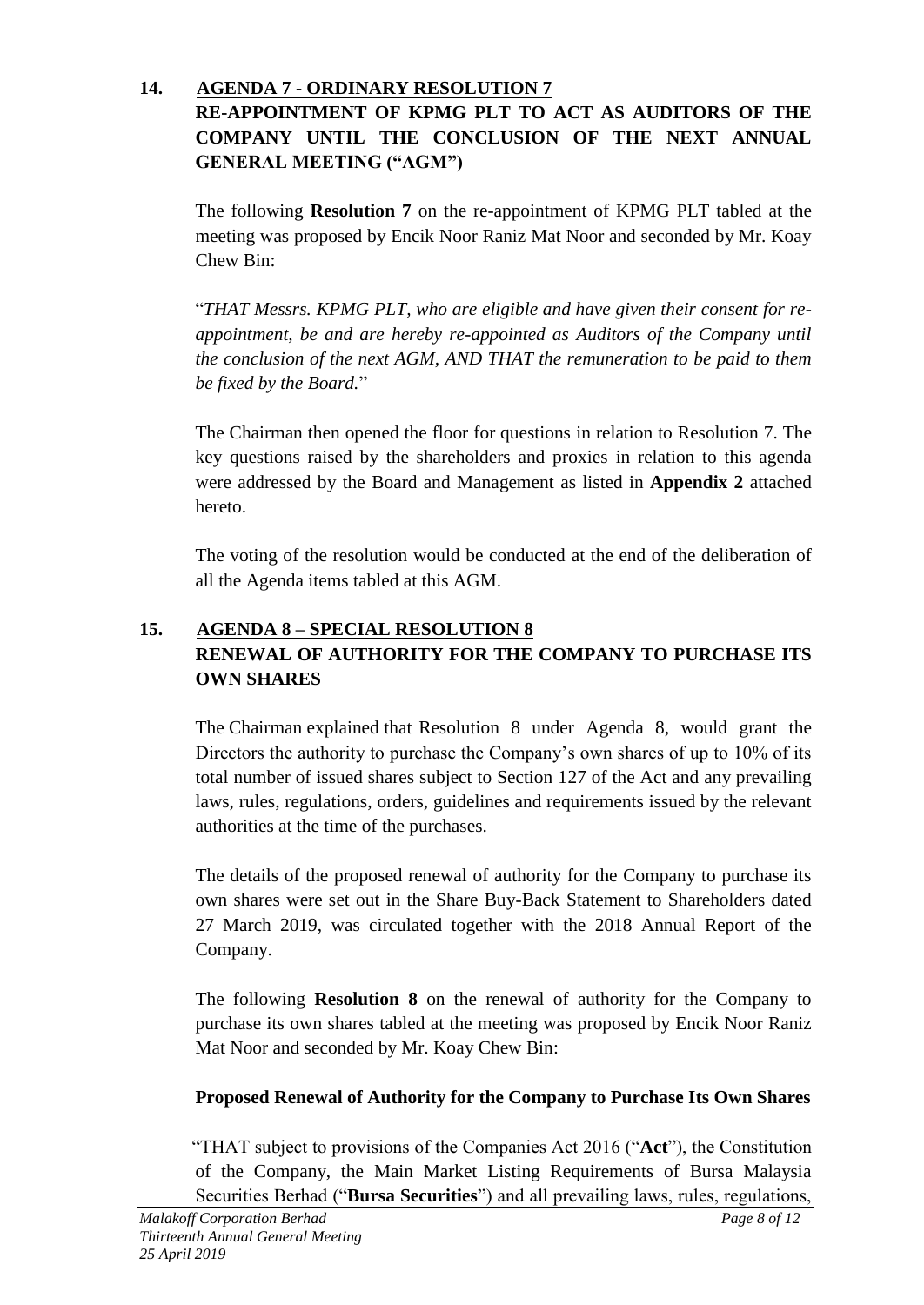## **14. AGENDA 7 - ORDINARY RESOLUTION 7 RE-APPOINTMENT OF KPMG PLT TO ACT AS AUDITORS OF THE COMPANY UNTIL THE CONCLUSION OF THE NEXT ANNUAL**

**GENERAL MEETING ("AGM")**

The following **Resolution 7** on the re-appointment of KPMG PLT tabled at the meeting was proposed by Encik Noor Raniz Mat Noor and seconded by Mr. Koay Chew Bin:

"*THAT Messrs. KPMG PLT, who are eligible and have given their consent for reappointment, be and are hereby re-appointed as Auditors of the Company until the conclusion of the next AGM, AND THAT the remuneration to be paid to them be fixed by the Board.*"

The Chairman then opened the floor for questions in relation to Resolution 7. The key questions raised by the shareholders and proxies in relation to this agenda were addressed by the Board and Management as listed in **Appendix 2** attached hereto.

The voting of the resolution would be conducted at the end of the deliberation of all the Agenda items tabled at this AGM.

# **15. AGENDA 8 – SPECIAL RESOLUTION 8 RENEWAL OF AUTHORITY FOR THE COMPANY TO PURCHASE ITS OWN SHARES**

The Chairman explained that Resolution 8 under Agenda 8, would grant the Directors the authority to purchase the Company's own shares of up to 10% of its total number of issued shares subject to Section 127 of the Act and any prevailing laws, rules, regulations, orders, guidelines and requirements issued by the relevant authorities at the time of the purchases.

The details of the proposed renewal of authority for the Company to purchase its own shares were set out in the Share Buy-Back Statement to Shareholders dated 27 March 2019, was circulated together with the 2018 Annual Report of the Company.

The following **Resolution 8** on the renewal of authority for the Company to purchase its own shares tabled at the meeting was proposed by Encik Noor Raniz Mat Noor and seconded by Mr. Koay Chew Bin:

# **Proposed Renewal of Authority for the Company to Purchase Its Own Shares**

"THAT subject to provisions of the Companies Act 2016 ("**Act**"), the Constitution of the Company, the Main Market Listing Requirements of Bursa Malaysia Securities Berhad ("**Bursa Securities**") and all prevailing laws, rules, regulations,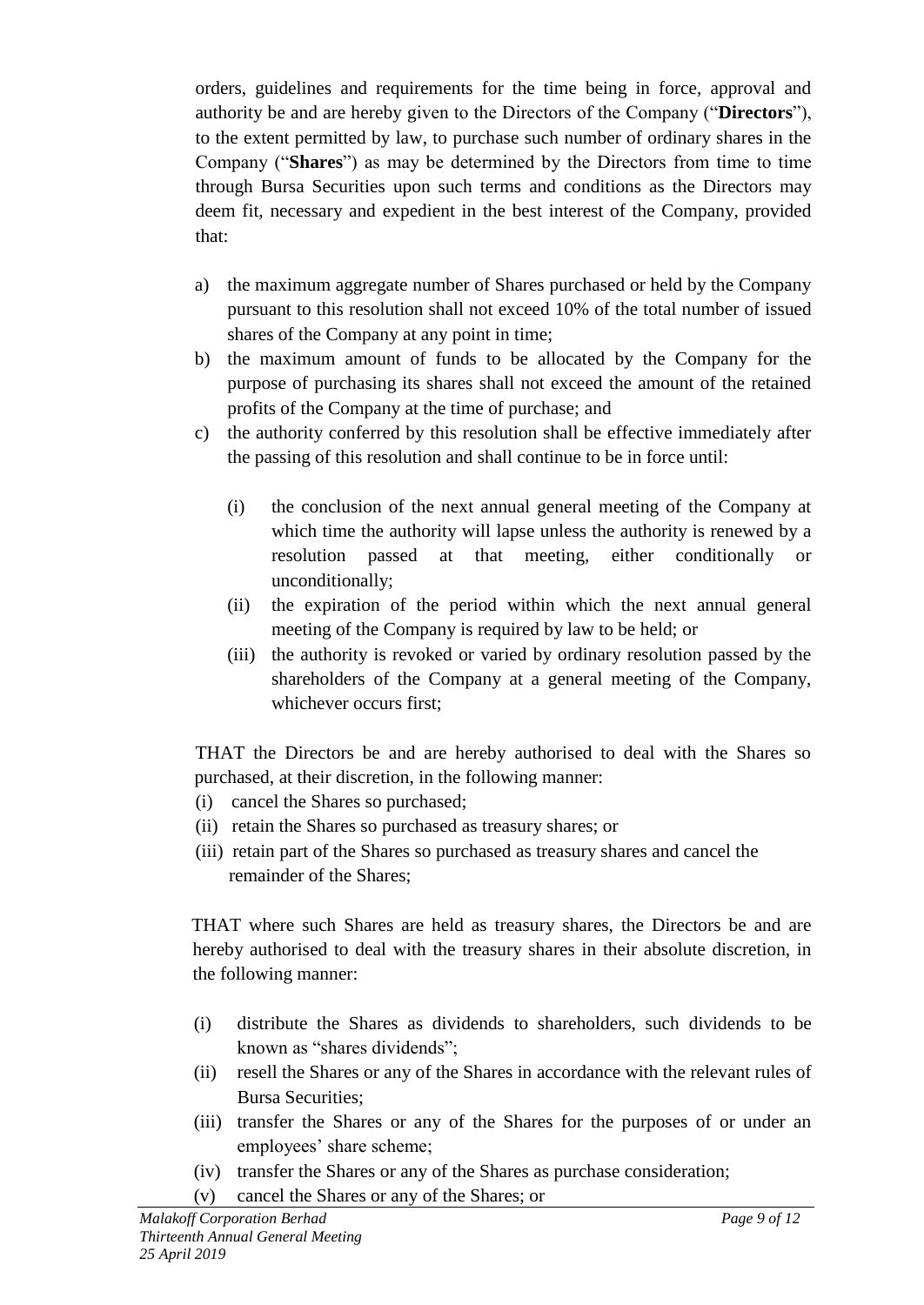orders, guidelines and requirements for the time being in force, approval and authority be and are hereby given to the Directors of the Company ("**Directors**"), to the extent permitted by law, to purchase such number of ordinary shares in the Company ("**Shares**") as may be determined by the Directors from time to time through Bursa Securities upon such terms and conditions as the Directors may deem fit, necessary and expedient in the best interest of the Company, provided that:

- a) the maximum aggregate number of Shares purchased or held by the Company pursuant to this resolution shall not exceed 10% of the total number of issued shares of the Company at any point in time;
- b) the maximum amount of funds to be allocated by the Company for the purpose of purchasing its shares shall not exceed the amount of the retained profits of the Company at the time of purchase; and
- c) the authority conferred by this resolution shall be effective immediately after the passing of this resolution and shall continue to be in force until:
	- (i) the conclusion of the next annual general meeting of the Company at which time the authority will lapse unless the authority is renewed by a resolution passed at that meeting, either conditionally or unconditionally;
	- (ii) the expiration of the period within which the next annual general meeting of the Company is required by law to be held; or
	- (iii) the authority is revoked or varied by ordinary resolution passed by the shareholders of the Company at a general meeting of the Company, whichever occurs first;

THAT the Directors be and are hereby authorised to deal with the Shares so purchased, at their discretion, in the following manner:

- (i) cancel the Shares so purchased;
- (ii) retain the Shares so purchased as treasury shares; or
- (iii) retain part of the Shares so purchased as treasury shares and cancel the remainder of the Shares;

THAT where such Shares are held as treasury shares, the Directors be and are hereby authorised to deal with the treasury shares in their absolute discretion, in the following manner:

- (i) distribute the Shares as dividends to shareholders, such dividends to be known as "shares dividends";
- (ii) resell the Shares or any of the Shares in accordance with the relevant rules of Bursa Securities;
- (iii) transfer the Shares or any of the Shares for the purposes of or under an employees' share scheme;
- (iv) transfer the Shares or any of the Shares as purchase consideration;
- (v) cancel the Shares or any of the Shares; or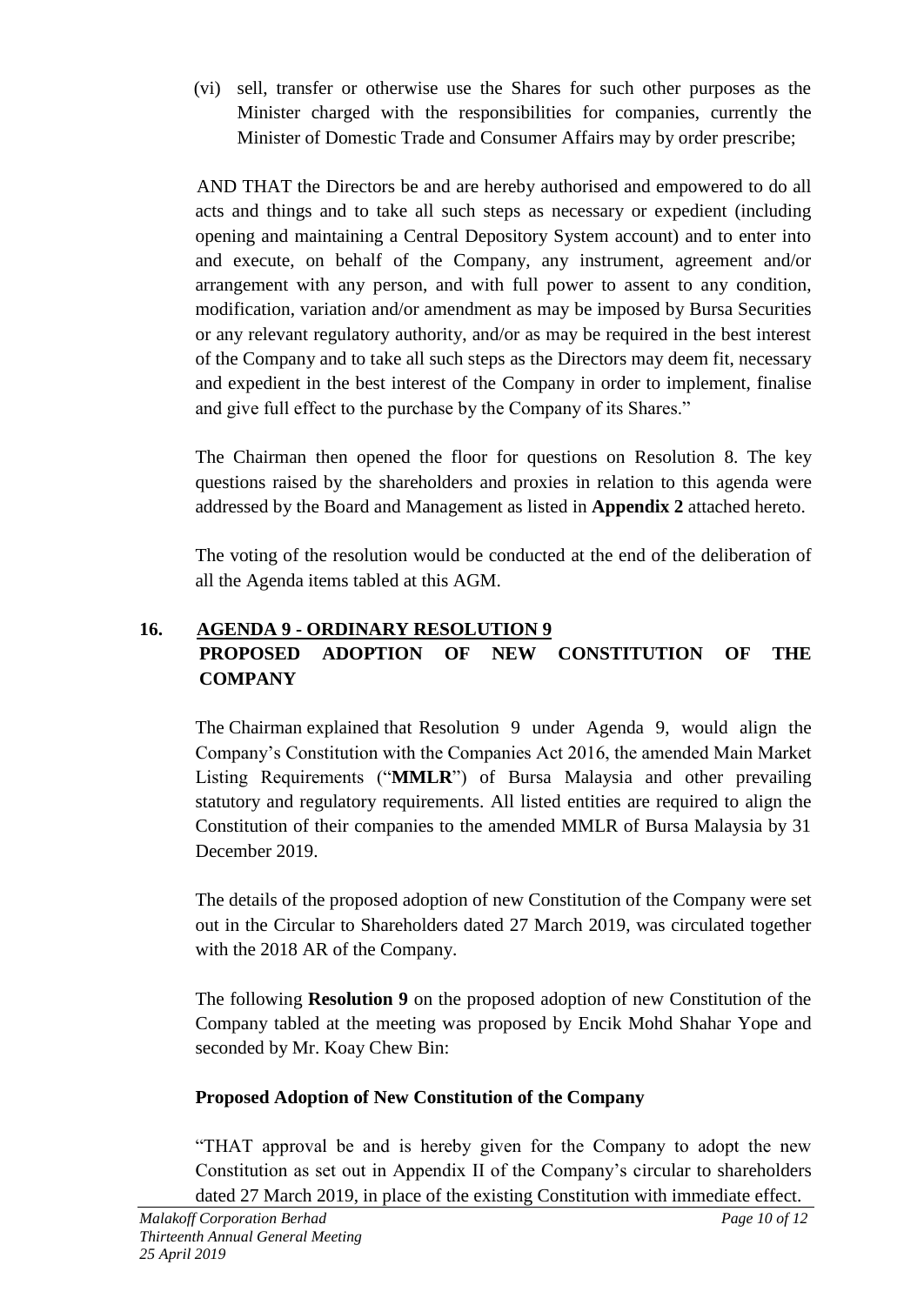(vi) sell, transfer or otherwise use the Shares for such other purposes as the Minister charged with the responsibilities for companies, currently the Minister of Domestic Trade and Consumer Affairs may by order prescribe;

 AND THAT the Directors be and are hereby authorised and empowered to do all acts and things and to take all such steps as necessary or expedient (including opening and maintaining a Central Depository System account) and to enter into and execute, on behalf of the Company, any instrument, agreement and/or arrangement with any person, and with full power to assent to any condition, modification, variation and/or amendment as may be imposed by Bursa Securities or any relevant regulatory authority, and/or as may be required in the best interest of the Company and to take all such steps as the Directors may deem fit, necessary and expedient in the best interest of the Company in order to implement, finalise and give full effect to the purchase by the Company of its Shares."

The Chairman then opened the floor for questions on Resolution 8. The key questions raised by the shareholders and proxies in relation to this agenda were addressed by the Board and Management as listed in **Appendix 2** attached hereto.

The voting of the resolution would be conducted at the end of the deliberation of all the Agenda items tabled at this AGM.

# **16. AGENDA 9 - ORDINARY RESOLUTION 9 PROPOSED ADOPTION OF NEW CONSTITUTION OF THE COMPANY**

The Chairman explained that Resolution 9 under Agenda 9, would align the Company's Constitution with the Companies Act 2016, the amended Main Market Listing Requirements ("**MMLR**") of Bursa Malaysia and other prevailing statutory and regulatory requirements. All listed entities are required to align the Constitution of their companies to the amended MMLR of Bursa Malaysia by 31 December 2019.

The details of the proposed adoption of new Constitution of the Company were set out in the Circular to Shareholders dated 27 March 2019, was circulated together with the 2018 AR of the Company.

The following **Resolution 9** on the proposed adoption of new Constitution of the Company tabled at the meeting was proposed by Encik Mohd Shahar Yope and seconded by Mr. Koay Chew Bin:

# **Proposed Adoption of New Constitution of the Company**

"THAT approval be and is hereby given for the Company to adopt the new Constitution as set out in Appendix II of the Company's circular to shareholders dated 27 March 2019, in place of the existing Constitution with immediate effect.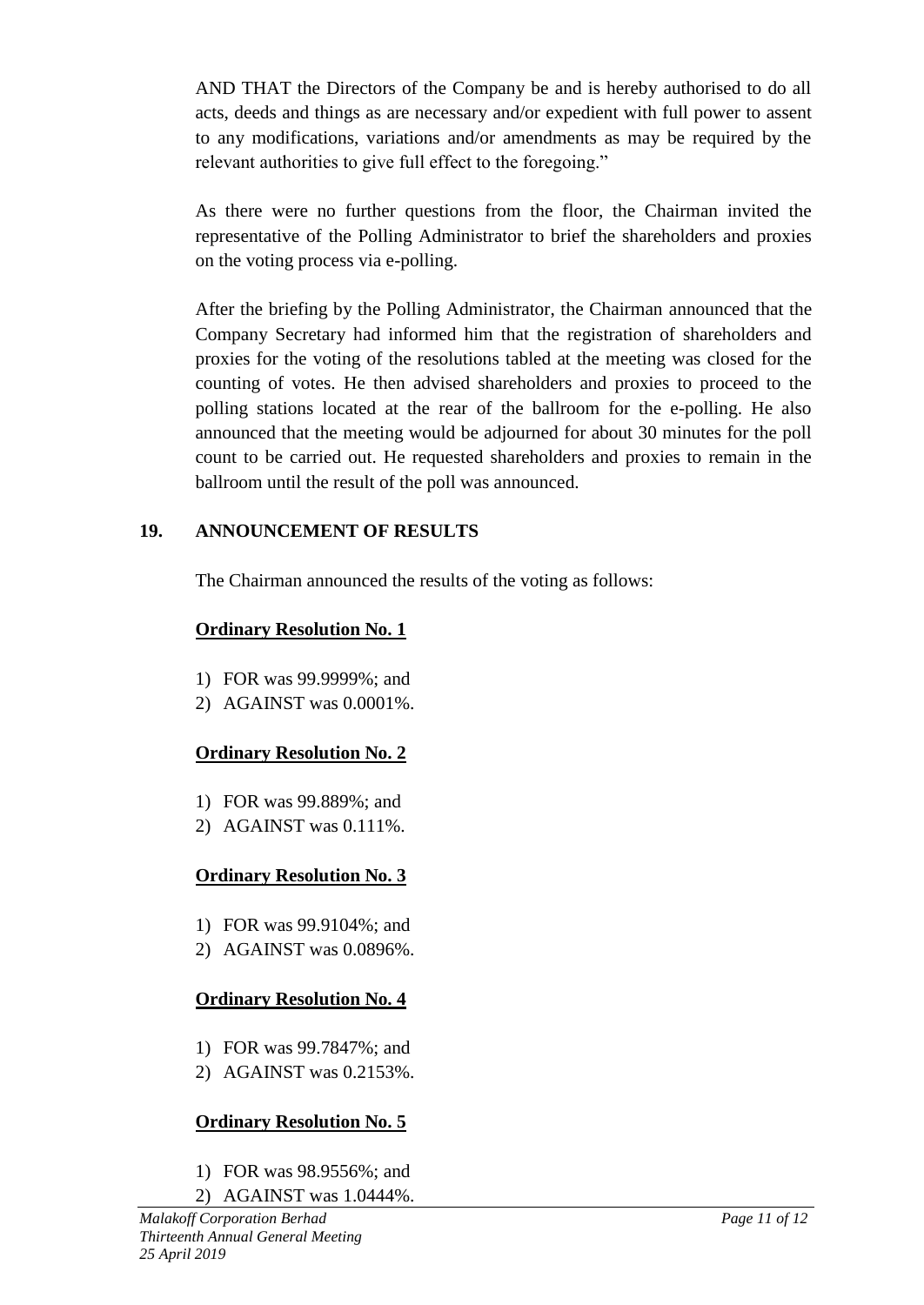AND THAT the Directors of the Company be and is hereby authorised to do all acts, deeds and things as are necessary and/or expedient with full power to assent to any modifications, variations and/or amendments as may be required by the relevant authorities to give full effect to the foregoing."

As there were no further questions from the floor, the Chairman invited the representative of the Polling Administrator to brief the shareholders and proxies on the voting process via e-polling.

After the briefing by the Polling Administrator, the Chairman announced that the Company Secretary had informed him that the registration of shareholders and proxies for the voting of the resolutions tabled at the meeting was closed for the counting of votes. He then advised shareholders and proxies to proceed to the polling stations located at the rear of the ballroom for the e-polling. He also announced that the meeting would be adjourned for about 30 minutes for the poll count to be carried out. He requested shareholders and proxies to remain in the ballroom until the result of the poll was announced.

# **19. ANNOUNCEMENT OF RESULTS**

The Chairman announced the results of the voting as follows:

## **Ordinary Resolution No. 1**

- 1) FOR was 99.9999%; and
- 2) AGAINST was 0.0001%.

# **Ordinary Resolution No. 2**

- 1) FOR was 99.889%; and
- 2) AGAINST was 0.111%.

# **Ordinary Resolution No. 3**

- 1) FOR was 99.9104%; and
- 2) AGAINST was 0.0896%.

# **Ordinary Resolution No. 4**

- 1) FOR was 99.7847%; and
- 2) AGAINST was 0.2153%.

# **Ordinary Resolution No. 5**

- 1) FOR was 98.9556%; and
- 2) AGAINST was 1.0444%.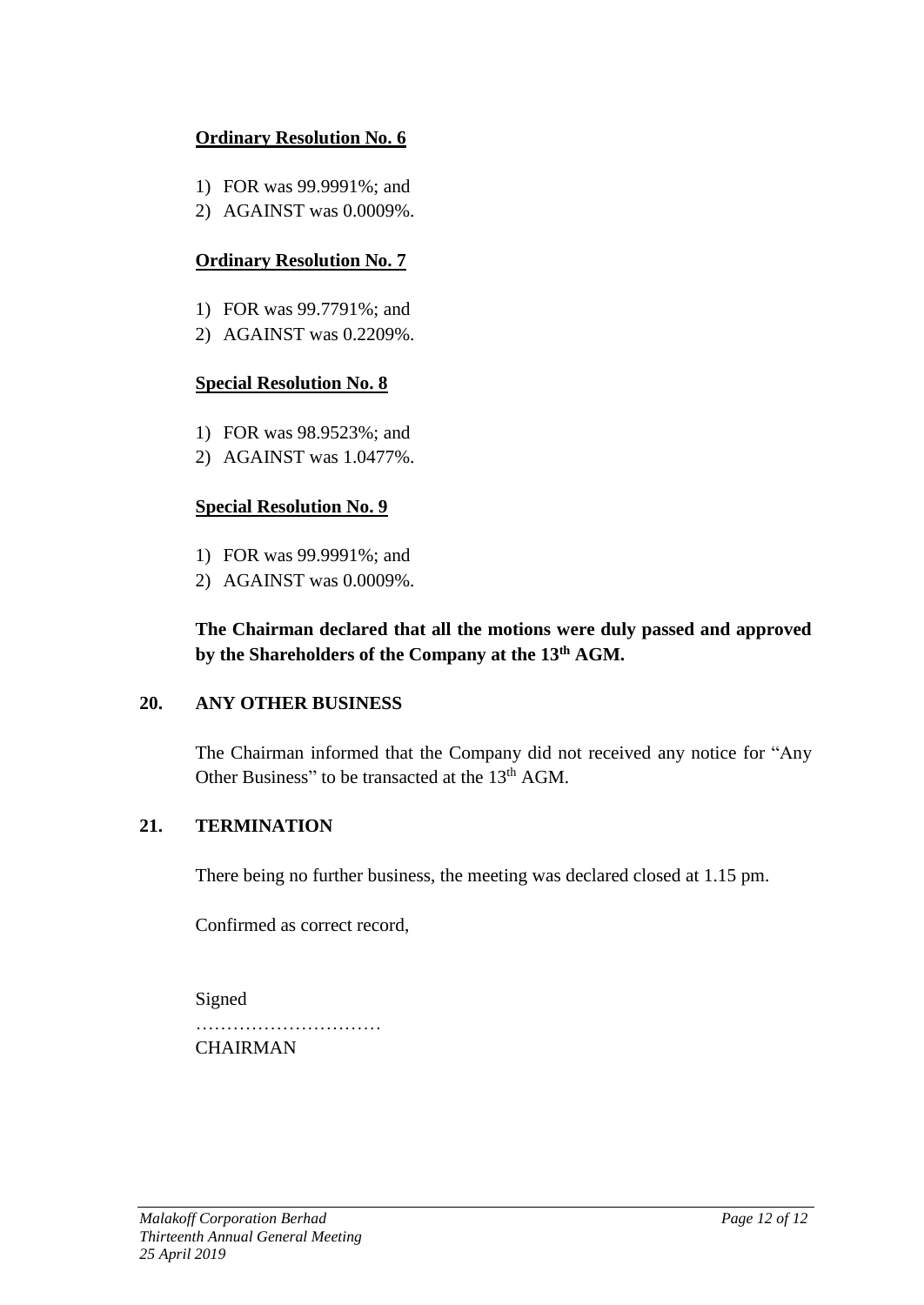## **Ordinary Resolution No. 6**

- 1) FOR was 99.9991%; and
- 2) AGAINST was 0.0009%.

# **Ordinary Resolution No. 7**

- 1) FOR was 99.7791%; and
- 2) AGAINST was 0.2209%.

### **Special Resolution No. 8**

- 1) FOR was 98.9523%; and
- 2) AGAINST was 1.0477%.

## **Special Resolution No. 9**

- 1) FOR was 99.9991%; and
- 2) AGAINST was 0.0009%.

## **The Chairman declared that all the motions were duly passed and approved by the Shareholders of the Company at the 13th AGM.**

## **20. ANY OTHER BUSINESS**

The Chairman informed that the Company did not received any notice for "Any Other Business" to be transacted at the 13<sup>th</sup> AGM.

## **21. TERMINATION**

There being no further business, the meeting was declared closed at 1.15 pm.

Confirmed as correct record,

Signed …………………………… CHAIRMAN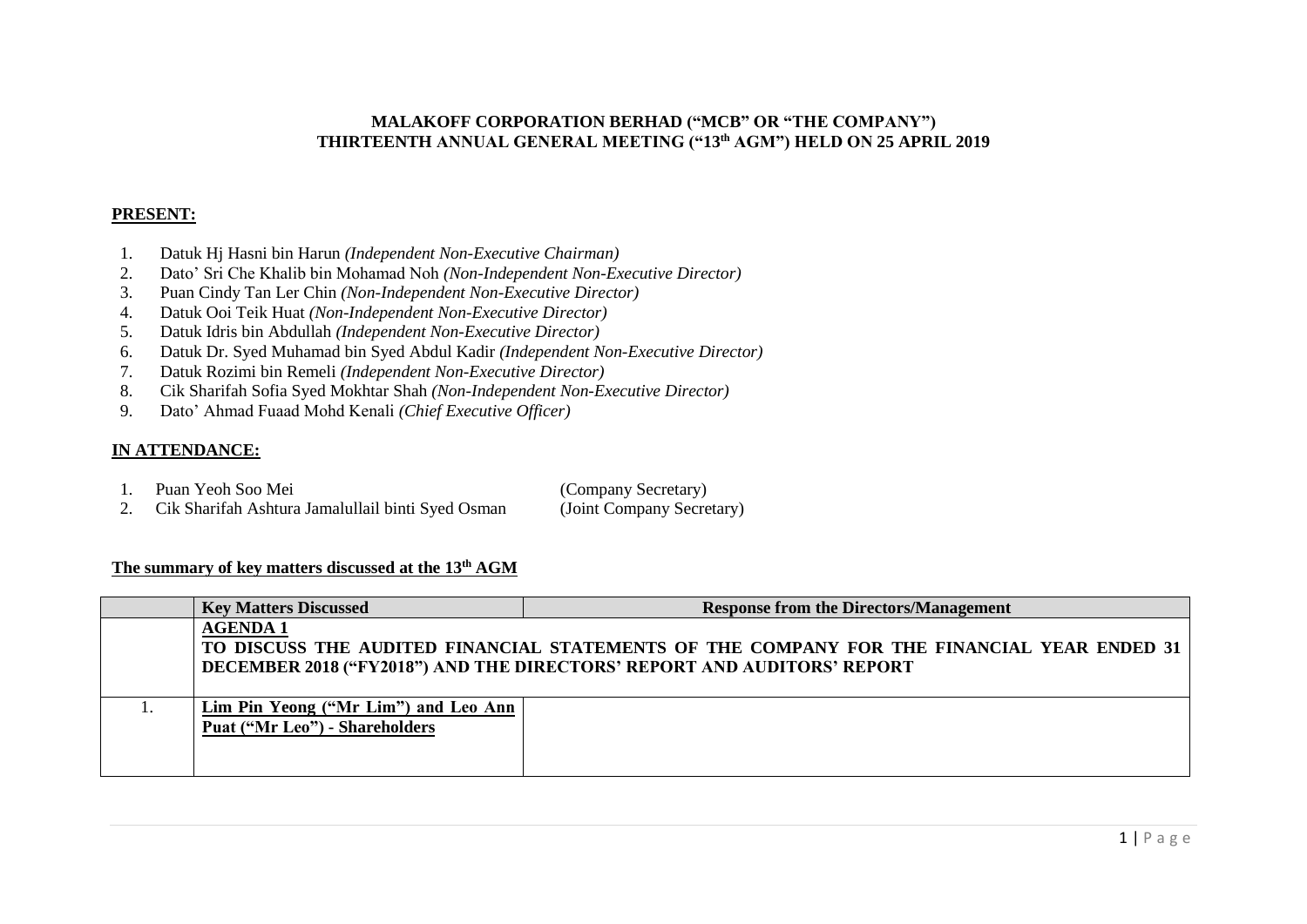#### **MALAKOFF CORPORATION BERHAD ("MCB" OR "THE COMPANY") THIRTEENTH ANNUAL GENERAL MEETING ("13th AGM") HELD ON 25 APRIL 2019**

#### **PRESENT:**

- 1. Datuk Hj Hasni bin Harun *(Independent Non-Executive Chairman)*
- 2. Dato' Sri Che Khalib bin Mohamad Noh *(Non-Independent Non-Executive Director)*
- 3. Puan Cindy Tan Ler Chin *(Non-Independent Non-Executive Director)*
- 4. Datuk Ooi Teik Huat *(Non-Independent Non-Executive Director)*
- 5. Datuk Idris bin Abdullah *(Independent Non-Executive Director)*
- 6. Datuk Dr. Syed Muhamad bin Syed Abdul Kadir *(Independent Non-Executive Director)*
- 7. Datuk Rozimi bin Remeli *(Independent Non-Executive Director)*
- 8. Cik Sharifah Sofia Syed Mokhtar Shah *(Non-Independent Non-Executive Director)*
- 9. Dato' Ahmad Fuaad Mohd Kenali *(Chief Executive Officer)*

#### **IN ATTENDANCE:**

1. Puan Yeoh Soo Mei (Company Secretary)

2. Cik Sharifah Ashtura Jamalullail binti Syed Osman (Joint Company Secretary)

#### **The summary of key matters discussed at the 13 th AGM**

| <b>Key Matters Discussed</b>                                           | <b>Response from the Directors/Management</b>                                                                                                                         |
|------------------------------------------------------------------------|-----------------------------------------------------------------------------------------------------------------------------------------------------------------------|
| <b>AGENDA1</b>                                                         | TO DISCUSS THE AUDITED FINANCIAL STATEMENTS OF THE COMPANY FOR THE FINANCIAL YEAR ENDED 31<br>DECEMBER 2018 ("FY2018") AND THE DIRECTORS' REPORT AND AUDITORS' REPORT |
| Lim Pin Yeong ("Mr Lim") and Leo Ann<br>Puat ("Mr Leo") - Shareholders |                                                                                                                                                                       |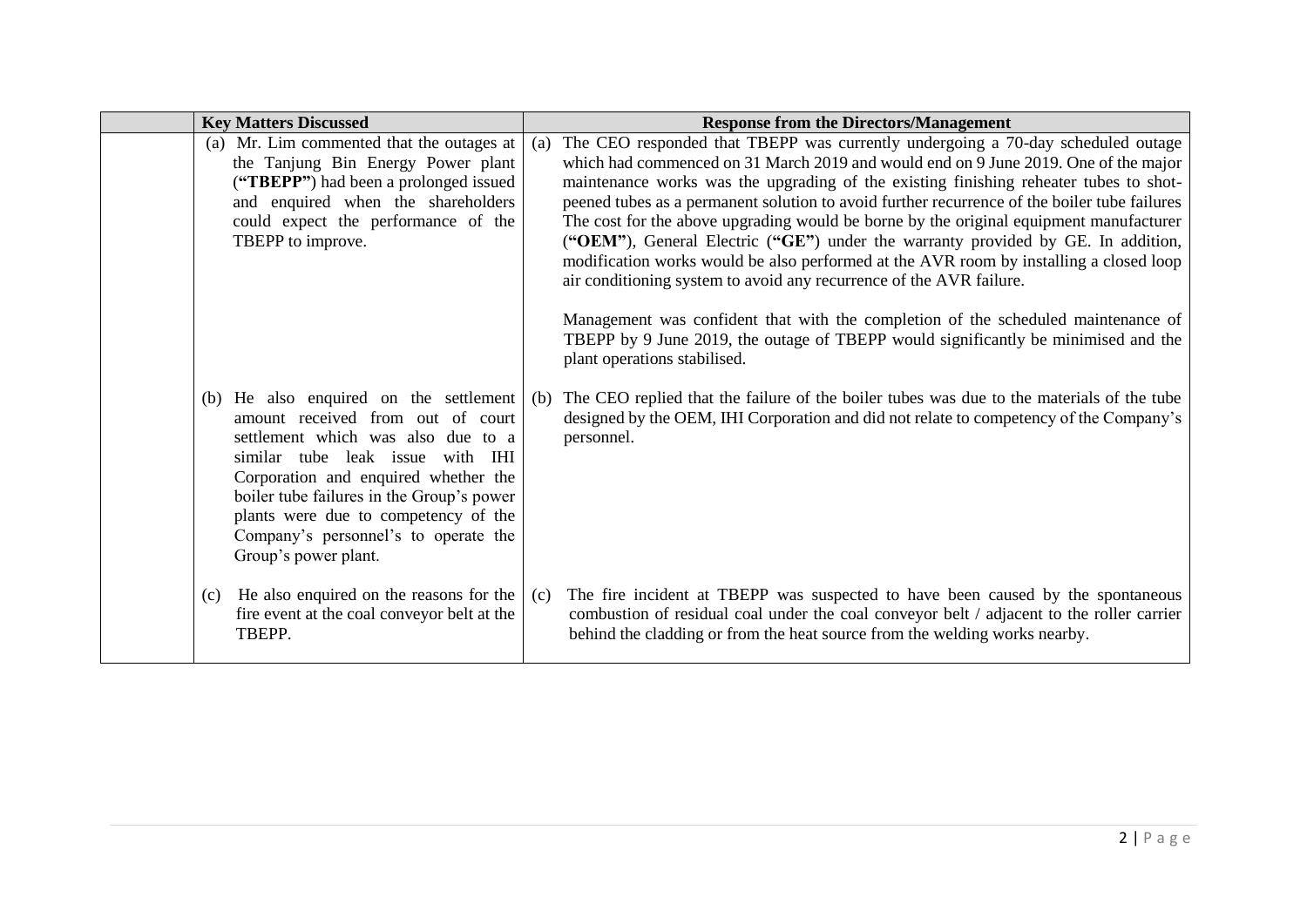| <b>Key Matters Discussed</b> |                                                                                                                                                                                                                                                                                                                                   | <b>Response from the Directors/Management</b>                                                                                                                                                                                                                                                                                                                                                                                                                                                                                                                                                                                                                                                                                                                                                                                                                                                                             |
|------------------------------|-----------------------------------------------------------------------------------------------------------------------------------------------------------------------------------------------------------------------------------------------------------------------------------------------------------------------------------|---------------------------------------------------------------------------------------------------------------------------------------------------------------------------------------------------------------------------------------------------------------------------------------------------------------------------------------------------------------------------------------------------------------------------------------------------------------------------------------------------------------------------------------------------------------------------------------------------------------------------------------------------------------------------------------------------------------------------------------------------------------------------------------------------------------------------------------------------------------------------------------------------------------------------|
| TBEPP to improve.            | (a) Mr. Lim commented that the outages at<br>(a)<br>the Tanjung Bin Energy Power plant<br>("TBEPP") had been a prolonged issued<br>and enquired when the shareholders<br>could expect the performance of the                                                                                                                      | The CEO responded that TBEPP was currently undergoing a 70-day scheduled outage<br>which had commenced on 31 March 2019 and would end on 9 June 2019. One of the major<br>maintenance works was the upgrading of the existing finishing reheater tubes to shot-<br>peened tubes as a permanent solution to avoid further recurrence of the boiler tube failures<br>The cost for the above upgrading would be borne by the original equipment manufacturer<br>("OEM"), General Electric ("GE") under the warranty provided by GE. In addition,<br>modification works would be also performed at the AVR room by installing a closed loop<br>air conditioning system to avoid any recurrence of the AVR failure.<br>Management was confident that with the completion of the scheduled maintenance of<br>TBEPP by 9 June 2019, the outage of TBEPP would significantly be minimised and the<br>plant operations stabilised. |
| Group's power plant.         | (b) He also enquired on the settlement<br>(b)<br>amount received from out of court<br>settlement which was also due to a<br>similar tube leak issue with IHI<br>Corporation and enquired whether the<br>boiler tube failures in the Group's power<br>plants were due to competency of the<br>Company's personnel's to operate the | The CEO replied that the failure of the boiler tubes was due to the materials of the tube<br>designed by the OEM, IHI Corporation and did not relate to competency of the Company's<br>personnel.                                                                                                                                                                                                                                                                                                                                                                                                                                                                                                                                                                                                                                                                                                                         |
| TBEPP.                       | (c) He also enquired on the reasons for the<br>(c)<br>fire event at the coal conveyor belt at the                                                                                                                                                                                                                                 | The fire incident at TBEPP was suspected to have been caused by the spontaneous<br>combustion of residual coal under the coal conveyor belt / adjacent to the roller carrier<br>behind the cladding or from the heat source from the welding works nearby.                                                                                                                                                                                                                                                                                                                                                                                                                                                                                                                                                                                                                                                                |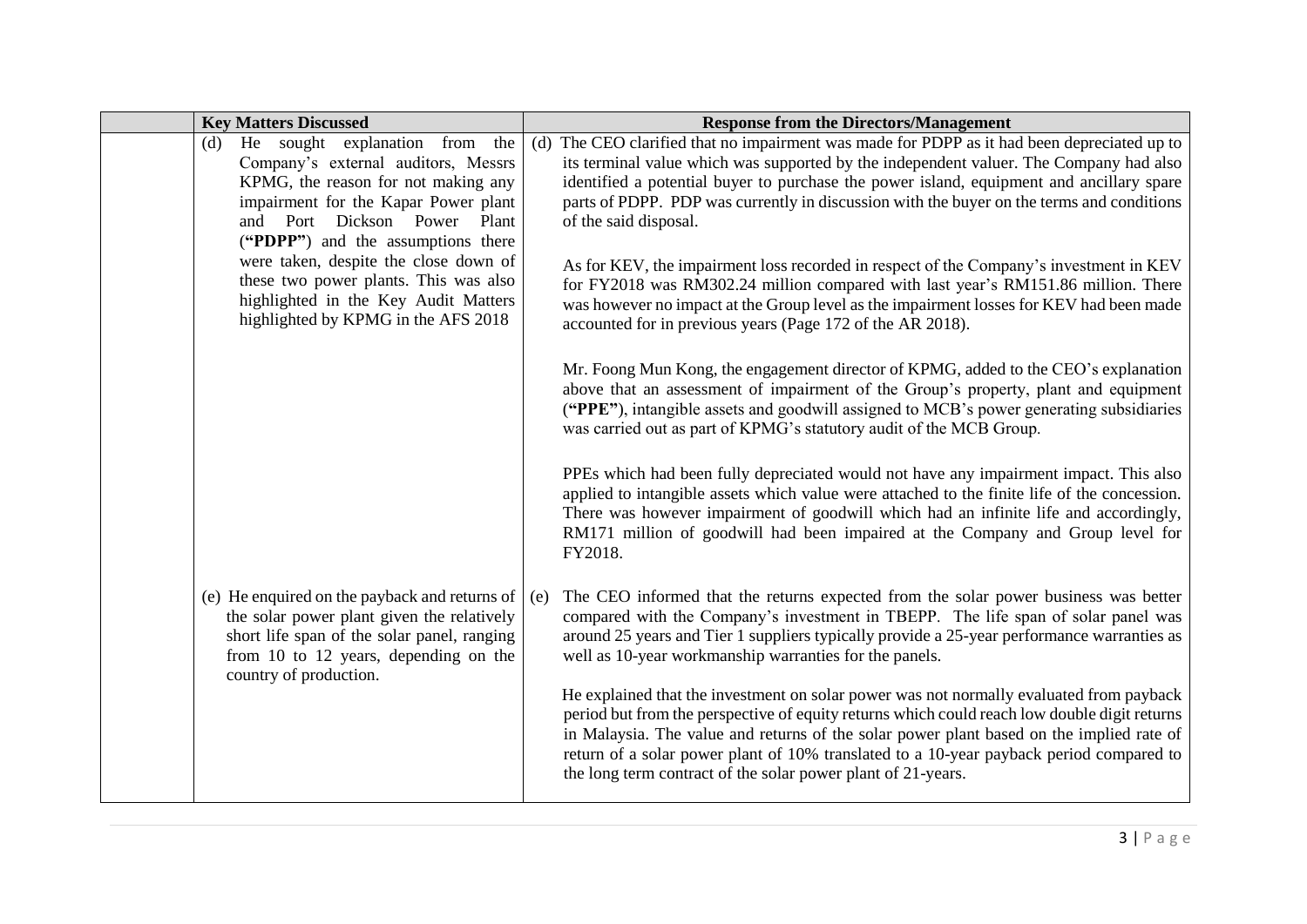| <b>Key Matters Discussed</b>                                                                                                                                                                                                      | <b>Response from the Directors/Management</b>                                                                                                                                                                                                                                                                                                                                                                                                  |
|-----------------------------------------------------------------------------------------------------------------------------------------------------------------------------------------------------------------------------------|------------------------------------------------------------------------------------------------------------------------------------------------------------------------------------------------------------------------------------------------------------------------------------------------------------------------------------------------------------------------------------------------------------------------------------------------|
| He sought explanation from the<br>(d)<br>Company's external auditors, Messrs<br>KPMG, the reason for not making any<br>impairment for the Kapar Power plant<br>and Port Dickson Power Plant<br>("PDPP") and the assumptions there | (d) The CEO clarified that no impairment was made for PDPP as it had been depreciated up to<br>its terminal value which was supported by the independent valuer. The Company had also<br>identified a potential buyer to purchase the power island, equipment and ancillary spare<br>parts of PDPP. PDP was currently in discussion with the buyer on the terms and conditions<br>of the said disposal.                                        |
| were taken, despite the close down of<br>these two power plants. This was also<br>highlighted in the Key Audit Matters<br>highlighted by KPMG in the AFS 2018                                                                     | As for KEV, the impairment loss recorded in respect of the Company's investment in KEV<br>for FY2018 was RM302.24 million compared with last year's RM151.86 million. There<br>was however no impact at the Group level as the impairment losses for KEV had been made<br>accounted for in previous years (Page 172 of the AR 2018).                                                                                                           |
|                                                                                                                                                                                                                                   | Mr. Foong Mun Kong, the engagement director of KPMG, added to the CEO's explanation<br>above that an assessment of impairment of the Group's property, plant and equipment<br>("PPE"), intangible assets and goodwill assigned to MCB's power generating subsidiaries<br>was carried out as part of KPMG's statutory audit of the MCB Group.                                                                                                   |
|                                                                                                                                                                                                                                   | PPEs which had been fully depreciated would not have any impairment impact. This also<br>applied to intangible assets which value were attached to the finite life of the concession.<br>There was however impairment of goodwill which had an infinite life and accordingly,<br>RM171 million of goodwill had been impaired at the Company and Group level for<br>FY2018.                                                                     |
| (e) He enquired on the payback and returns of $\vert$ (e)<br>the solar power plant given the relatively<br>short life span of the solar panel, ranging<br>from 10 to 12 years, depending on the<br>country of production.         | The CEO informed that the returns expected from the solar power business was better<br>compared with the Company's investment in TBEPP. The life span of solar panel was<br>around 25 years and Tier 1 suppliers typically provide a 25-year performance warranties as<br>well as 10-year workmanship warranties for the panels.                                                                                                               |
|                                                                                                                                                                                                                                   | He explained that the investment on solar power was not normally evaluated from payback<br>period but from the perspective of equity returns which could reach low double digit returns<br>in Malaysia. The value and returns of the solar power plant based on the implied rate of<br>return of a solar power plant of 10% translated to a 10-year payback period compared to<br>the long term contract of the solar power plant of 21-years. |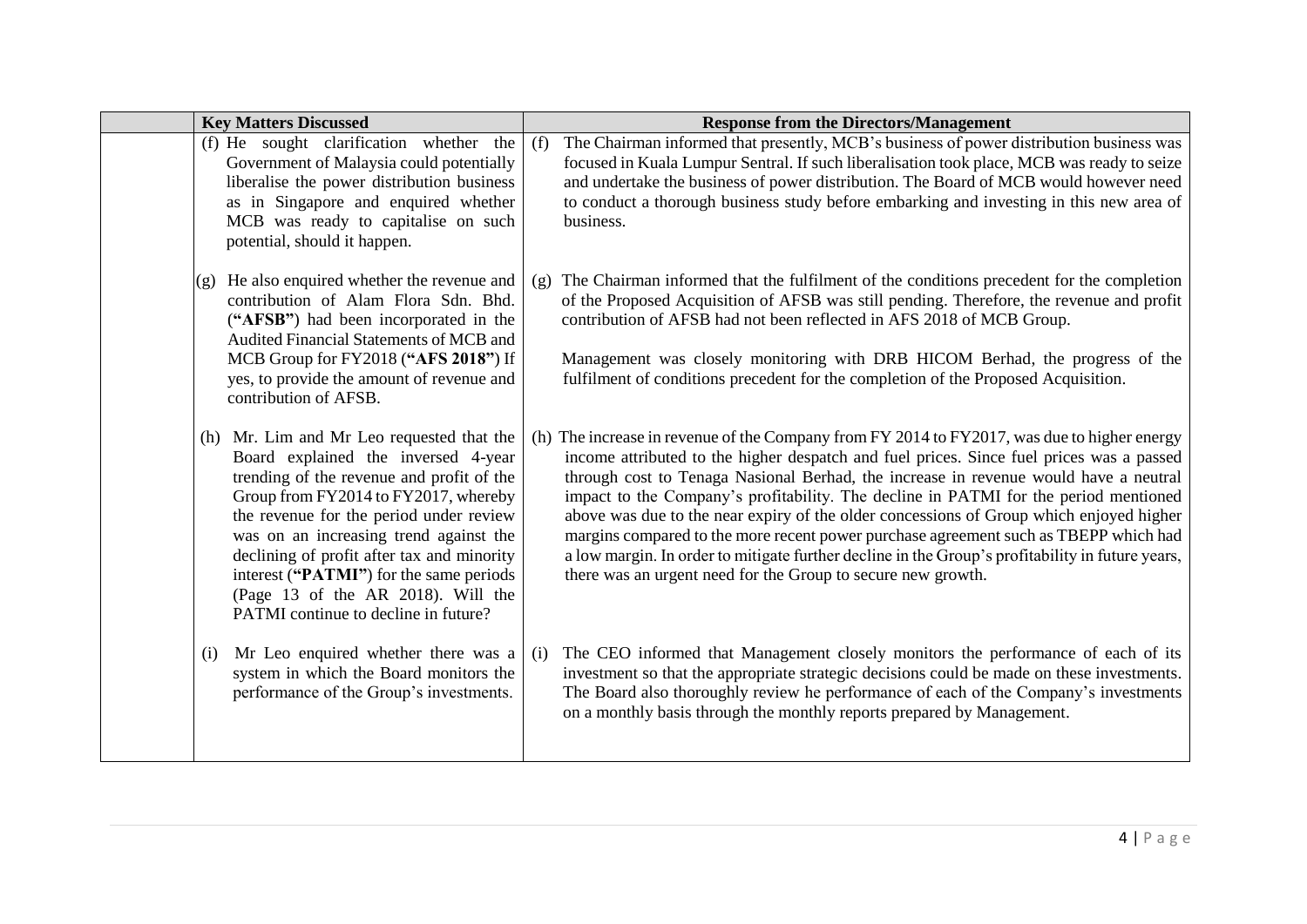| <b>Key Matters Discussed</b>                                                                                                                                                                                                                                                                                                                                                                                                         | <b>Response from the Directors/Management</b>                                                                                                                                                                                                                                                                                                                                                                                                                                                                                                                                                                                                                                                                                  |
|--------------------------------------------------------------------------------------------------------------------------------------------------------------------------------------------------------------------------------------------------------------------------------------------------------------------------------------------------------------------------------------------------------------------------------------|--------------------------------------------------------------------------------------------------------------------------------------------------------------------------------------------------------------------------------------------------------------------------------------------------------------------------------------------------------------------------------------------------------------------------------------------------------------------------------------------------------------------------------------------------------------------------------------------------------------------------------------------------------------------------------------------------------------------------------|
| (f) He sought clarification whether the<br>Government of Malaysia could potentially<br>liberalise the power distribution business<br>as in Singapore and enquired whether<br>MCB was ready to capitalise on such<br>potential, should it happen.                                                                                                                                                                                     | The Chairman informed that presently, MCB's business of power distribution business was<br>(f)<br>focused in Kuala Lumpur Sentral. If such liberalisation took place, MCB was ready to seize<br>and undertake the business of power distribution. The Board of MCB would however need<br>to conduct a thorough business study before embarking and investing in this new area of<br>business.                                                                                                                                                                                                                                                                                                                                  |
| He also enquired whether the revenue and<br>(g)<br>contribution of Alam Flora Sdn. Bhd.<br>("AFSB") had been incorporated in the<br>Audited Financial Statements of MCB and<br>MCB Group for FY2018 ("AFS 2018") If<br>yes, to provide the amount of revenue and<br>contribution of AFSB.                                                                                                                                            | The Chairman informed that the fulfilment of the conditions precedent for the completion<br>(g)<br>of the Proposed Acquisition of AFSB was still pending. Therefore, the revenue and profit<br>contribution of AFSB had not been reflected in AFS 2018 of MCB Group.<br>Management was closely monitoring with DRB HICOM Berhad, the progress of the<br>fulfilment of conditions precedent for the completion of the Proposed Acquisition.                                                                                                                                                                                                                                                                                     |
| Mr. Lim and Mr Leo requested that the<br>(h)<br>Board explained the inversed 4-year<br>trending of the revenue and profit of the<br>Group from FY2014 to FY2017, whereby<br>the revenue for the period under review<br>was on an increasing trend against the<br>declining of profit after tax and minority<br>interest ("PATMI") for the same periods<br>(Page 13 of the AR 2018). Will the<br>PATMI continue to decline in future? | (h) The increase in revenue of the Company from FY 2014 to FY2017, was due to higher energy<br>income attributed to the higher despatch and fuel prices. Since fuel prices was a passed<br>through cost to Tenaga Nasional Berhad, the increase in revenue would have a neutral<br>impact to the Company's profitability. The decline in PATMI for the period mentioned<br>above was due to the near expiry of the older concessions of Group which enjoyed higher<br>margins compared to the more recent power purchase agreement such as TBEPP which had<br>a low margin. In order to mitigate further decline in the Group's profitability in future years,<br>there was an urgent need for the Group to secure new growth. |
| Mr Leo enquired whether there was a<br>(i)<br>system in which the Board monitors the<br>performance of the Group's investments.                                                                                                                                                                                                                                                                                                      | The CEO informed that Management closely monitors the performance of each of its<br>(i)<br>investment so that the appropriate strategic decisions could be made on these investments.<br>The Board also thoroughly review he performance of each of the Company's investments<br>on a monthly basis through the monthly reports prepared by Management.                                                                                                                                                                                                                                                                                                                                                                        |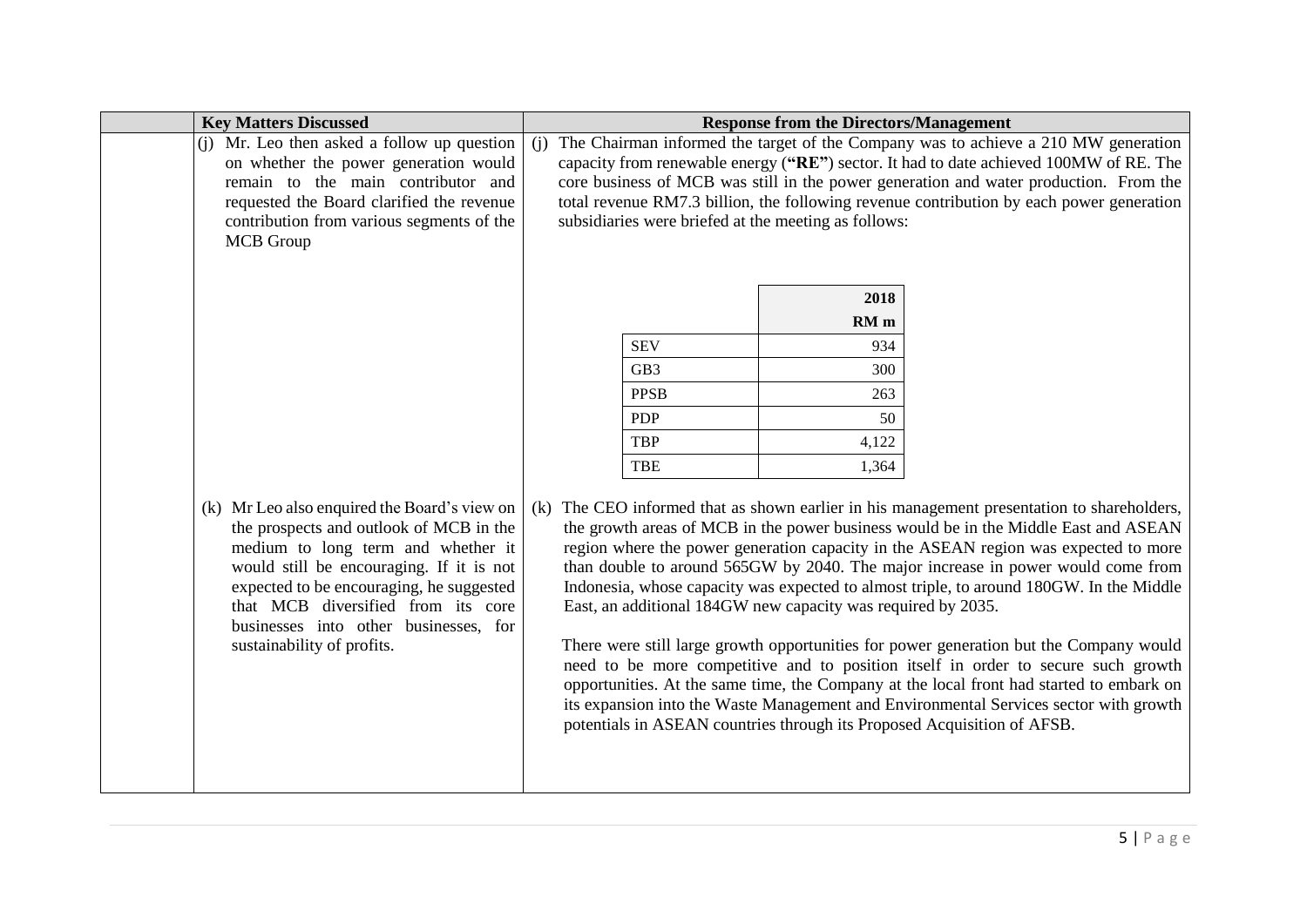| (i) Mr. Leo then asked a follow up question<br>(i) The Chairman informed the target of the Company was to achieve a 210 MW generation<br>capacity from renewable energy ("RE") sector. It had to date achieved 100MW of RE. The<br>on whether the power generation would<br>core business of MCB was still in the power generation and water production. From the<br>remain to the main contributor and<br>total revenue RM7.3 billion, the following revenue contribution by each power generation<br>requested the Board clarified the revenue<br>contribution from various segments of the<br>subsidiaries were briefed at the meeting as follows:<br><b>MCB</b> Group                                                                                                                                                                                                                                                                                                                                                                                                                                                                                                                                                                                                                                                                                                                                                                                    | <b>Key Matters Discussed</b> |
|--------------------------------------------------------------------------------------------------------------------------------------------------------------------------------------------------------------------------------------------------------------------------------------------------------------------------------------------------------------------------------------------------------------------------------------------------------------------------------------------------------------------------------------------------------------------------------------------------------------------------------------------------------------------------------------------------------------------------------------------------------------------------------------------------------------------------------------------------------------------------------------------------------------------------------------------------------------------------------------------------------------------------------------------------------------------------------------------------------------------------------------------------------------------------------------------------------------------------------------------------------------------------------------------------------------------------------------------------------------------------------------------------------------------------------------------------------------|------------------------------|
|                                                                                                                                                                                                                                                                                                                                                                                                                                                                                                                                                                                                                                                                                                                                                                                                                                                                                                                                                                                                                                                                                                                                                                                                                                                                                                                                                                                                                                                              |                              |
| 2018<br>$RM$ m<br><b>SEV</b><br>934<br>GB3<br>300<br><b>PPSB</b><br>263<br><b>PDP</b><br>50<br><b>TBP</b><br>4,122<br><b>TBE</b><br>1,364<br>(k) Mr Leo also enquired the Board's view on<br>The CEO informed that as shown earlier in his management presentation to shareholders,<br>(k)<br>the prospects and outlook of MCB in the<br>the growth areas of MCB in the power business would be in the Middle East and ASEAN<br>medium to long term and whether it<br>region where the power generation capacity in the ASEAN region was expected to more<br>than double to around 565GW by 2040. The major increase in power would come from<br>would still be encouraging. If it is not<br>expected to be encouraging, he suggested<br>Indonesia, whose capacity was expected to almost triple, to around 180GW. In the Middle<br>East, an additional 184GW new capacity was required by 2035.<br>that MCB diversified from its core<br>businesses into other businesses, for<br>sustainability of profits.<br>There were still large growth opportunities for power generation but the Company would<br>need to be more competitive and to position itself in order to secure such growth<br>opportunities. At the same time, the Company at the local front had started to embark on<br>its expansion into the Waste Management and Environmental Services sector with growth<br>potentials in ASEAN countries through its Proposed Acquisition of AFSB. |                              |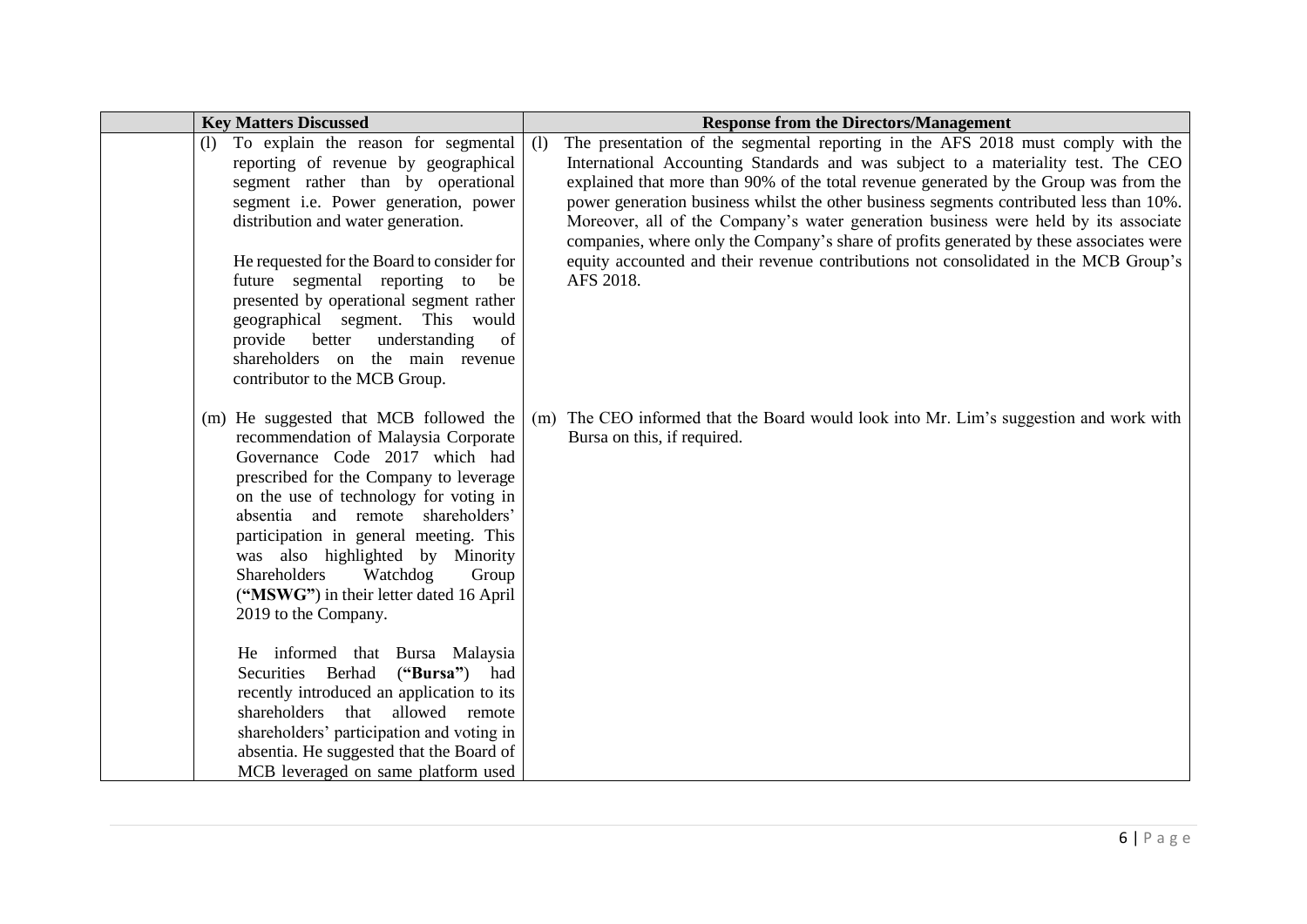| <b>Key Matters Discussed</b>                                                                                                                                                                                                                                                                                                                                                                                                                                                                | <b>Response from the Directors/Management</b>                                                                                                                                                                                                                                                                                                                                                                                                                                                                                                                                                                                                           |
|---------------------------------------------------------------------------------------------------------------------------------------------------------------------------------------------------------------------------------------------------------------------------------------------------------------------------------------------------------------------------------------------------------------------------------------------------------------------------------------------|---------------------------------------------------------------------------------------------------------------------------------------------------------------------------------------------------------------------------------------------------------------------------------------------------------------------------------------------------------------------------------------------------------------------------------------------------------------------------------------------------------------------------------------------------------------------------------------------------------------------------------------------------------|
| To explain the reason for segmental<br>(1)<br>reporting of revenue by geographical<br>segment rather than by operational<br>segment i.e. Power generation, power<br>distribution and water generation.<br>He requested for the Board to consider for<br>future segmental reporting to<br>be<br>presented by operational segment rather<br>geographical segment. This would<br>provide<br>understanding<br>better<br>of<br>shareholders on the main revenue<br>contributor to the MCB Group. | The presentation of the segmental reporting in the AFS 2018 must comply with the<br>(1)<br>International Accounting Standards and was subject to a materiality test. The CEO<br>explained that more than 90% of the total revenue generated by the Group was from the<br>power generation business whilst the other business segments contributed less than 10%.<br>Moreover, all of the Company's water generation business were held by its associate<br>companies, where only the Company's share of profits generated by these associates were<br>equity accounted and their revenue contributions not consolidated in the MCB Group's<br>AFS 2018. |
| (m) He suggested that MCB followed the<br>recommendation of Malaysia Corporate<br>Governance Code 2017 which had<br>prescribed for the Company to leverage<br>on the use of technology for voting in<br>absentia and remote shareholders'<br>participation in general meeting. This<br>was also highlighted by Minority<br>Watchdog<br>Shareholders<br>Group<br>("MSWG") in their letter dated 16 April<br>2019 to the Company.                                                             | The CEO informed that the Board would look into Mr. Lim's suggestion and work with<br>(m)<br>Bursa on this, if required.                                                                                                                                                                                                                                                                                                                                                                                                                                                                                                                                |
| He informed that Bursa Malaysia<br>Securities Berhad<br>("Bursa") had<br>recently introduced an application to its<br>shareholders that allowed remote<br>shareholders' participation and voting in<br>absentia. He suggested that the Board of<br>MCB leveraged on same platform used                                                                                                                                                                                                      |                                                                                                                                                                                                                                                                                                                                                                                                                                                                                                                                                                                                                                                         |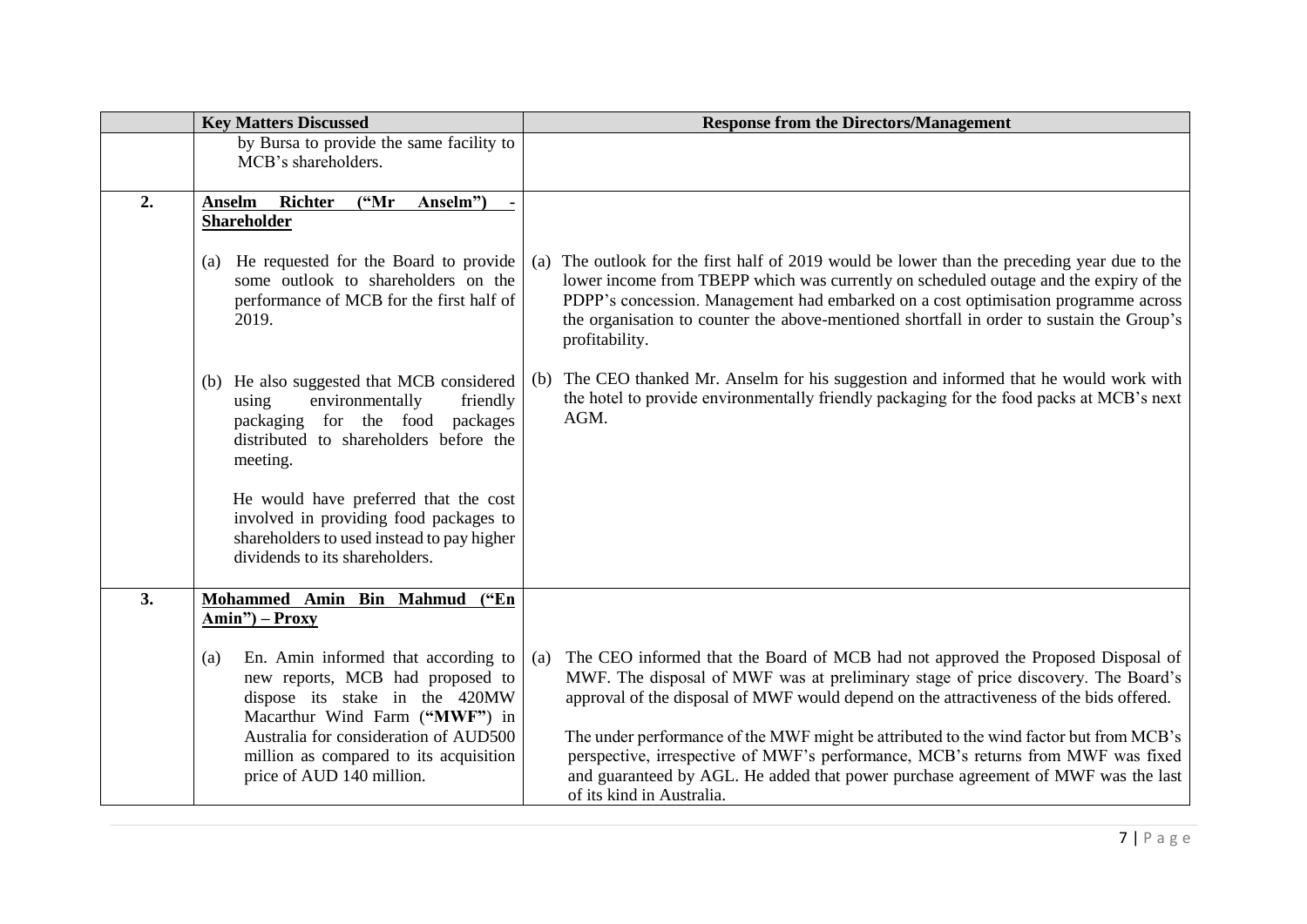|    | <b>Key Matters Discussed</b>                                                                                                                                                  |     | <b>Response from the Directors/Management</b>                                                                                                                                                                                                                                                                                                                                              |
|----|-------------------------------------------------------------------------------------------------------------------------------------------------------------------------------|-----|--------------------------------------------------------------------------------------------------------------------------------------------------------------------------------------------------------------------------------------------------------------------------------------------------------------------------------------------------------------------------------------------|
|    | by Bursa to provide the same facility to<br>MCB's shareholders.                                                                                                               |     |                                                                                                                                                                                                                                                                                                                                                                                            |
| 2. | <b>Anselm</b><br><b>Richter</b><br>$(^{4}Mr)$<br>Anselm")<br><b>Shareholder</b>                                                                                               |     |                                                                                                                                                                                                                                                                                                                                                                                            |
|    | (a) He requested for the Board to provide<br>some outlook to shareholders on the<br>performance of MCB for the first half of<br>2019.                                         |     | (a) The outlook for the first half of 2019 would be lower than the preceding year due to the<br>lower income from TBEPP which was currently on scheduled outage and the expiry of the<br>PDPP's concession. Management had embarked on a cost optimisation programme across<br>the organisation to counter the above-mentioned shortfall in order to sustain the Group's<br>profitability. |
|    | (b) He also suggested that MCB considered<br>environmentally<br>friendly<br>using<br>packaging for the food<br>packages<br>distributed to shareholders before the<br>meeting. | (b) | The CEO thanked Mr. Anselm for his suggestion and informed that he would work with<br>the hotel to provide environmentally friendly packaging for the food packs at MCB's next<br>AGM.                                                                                                                                                                                                     |
|    | He would have preferred that the cost<br>involved in providing food packages to<br>shareholders to used instead to pay higher<br>dividends to its shareholders.               |     |                                                                                                                                                                                                                                                                                                                                                                                            |
| 3. | Mohammed Amin Bin Mahmud ("En<br>Amin") – Proxy                                                                                                                               |     |                                                                                                                                                                                                                                                                                                                                                                                            |
|    | En. Amin informed that according to<br>(a)<br>new reports, MCB had proposed to<br>dispose its stake in the 420MW<br>Macarthur Wind Farm ("MWF") in                            | (a) | The CEO informed that the Board of MCB had not approved the Proposed Disposal of<br>MWF. The disposal of MWF was at preliminary stage of price discovery. The Board's<br>approval of the disposal of MWF would depend on the attractiveness of the bids offered.                                                                                                                           |
|    | Australia for consideration of AUD500<br>million as compared to its acquisition<br>price of AUD 140 million.                                                                  |     | The under performance of the MWF might be attributed to the wind factor but from MCB's<br>perspective, irrespective of MWF's performance, MCB's returns from MWF was fixed<br>and guaranteed by AGL. He added that power purchase agreement of MWF was the last<br>of its kind in Australia.                                                                                               |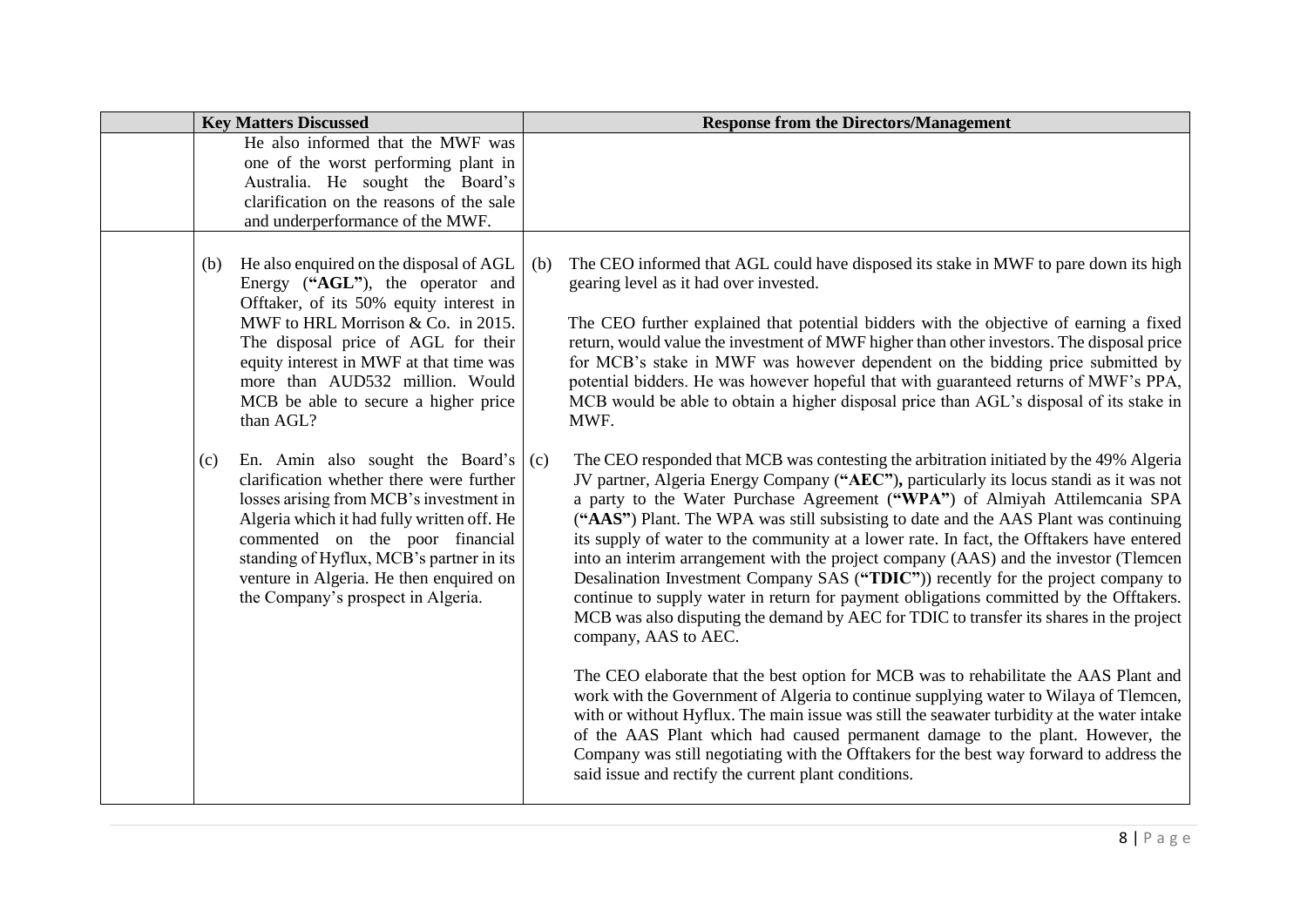| <b>Key Matters Discussed</b>                                                                                                                                                                                                                                                                                                                  |                                                                                                                                                           | <b>Response from the Directors/Management</b>                                                                                                                                                                                                                                                                                                                                                                                                                                                                                                                                                                                                                                                                                                                                                                                                   |
|-----------------------------------------------------------------------------------------------------------------------------------------------------------------------------------------------------------------------------------------------------------------------------------------------------------------------------------------------|-----------------------------------------------------------------------------------------------------------------------------------------------------------|-------------------------------------------------------------------------------------------------------------------------------------------------------------------------------------------------------------------------------------------------------------------------------------------------------------------------------------------------------------------------------------------------------------------------------------------------------------------------------------------------------------------------------------------------------------------------------------------------------------------------------------------------------------------------------------------------------------------------------------------------------------------------------------------------------------------------------------------------|
| and underperformance of the MWF.                                                                                                                                                                                                                                                                                                              | He also informed that the MWF was<br>one of the worst performing plant in<br>Australia. He sought the Board's<br>clarification on the reasons of the sale |                                                                                                                                                                                                                                                                                                                                                                                                                                                                                                                                                                                                                                                                                                                                                                                                                                                 |
| He also enquired on the disposal of AGL<br>(b)<br>Energy ("AGL"), the operator and<br>Offtaker, of its 50% equity interest in<br>MWF to HRL Morrison & Co. in 2015.<br>The disposal price of AGL for their<br>equity interest in MWF at that time was<br>more than AUD532 million. Would<br>MCB be able to secure a higher price<br>than AGL? | (b)                                                                                                                                                       | The CEO informed that AGL could have disposed its stake in MWF to pare down its high<br>gearing level as it had over invested.<br>The CEO further explained that potential bidders with the objective of earning a fixed<br>return, would value the investment of MWF higher than other investors. The disposal price<br>for MCB's stake in MWF was however dependent on the bidding price submitted by<br>potential bidders. He was however hopeful that with guaranteed returns of MWF's PPA,<br>MCB would be able to obtain a higher disposal price than AGL's disposal of its stake in<br>MWF.                                                                                                                                                                                                                                              |
| (c)<br>clarification whether there were further<br>losses arising from MCB's investment in<br>Algeria which it had fully written off. He<br>commented on the poor financial<br>standing of Hyflux, MCB's partner in its<br>venture in Algeria. He then enquired on<br>the Company's prospect in Algeria.                                      | En. Amin also sought the Board's $(c)$                                                                                                                    | The CEO responded that MCB was contesting the arbitration initiated by the 49% Algeria<br>JV partner, Algeria Energy Company ("AEC"), particularly its locus standi as it was not<br>a party to the Water Purchase Agreement ("WPA") of Almiyah Attilemcania SPA<br>("AAS") Plant. The WPA was still subsisting to date and the AAS Plant was continuing<br>its supply of water to the community at a lower rate. In fact, the Offtakers have entered<br>into an interim arrangement with the project company (AAS) and the investor (Tlemcen<br>Desalination Investment Company SAS ("TDIC")) recently for the project company to<br>continue to supply water in return for payment obligations committed by the Offtakers.<br>MCB was also disputing the demand by AEC for TDIC to transfer its shares in the project<br>company, AAS to AEC. |
|                                                                                                                                                                                                                                                                                                                                               |                                                                                                                                                           | The CEO elaborate that the best option for MCB was to rehabilitate the AAS Plant and<br>work with the Government of Algeria to continue supplying water to Wilaya of Tlemcen,<br>with or without Hyflux. The main issue was still the seawater turbidity at the water intake<br>of the AAS Plant which had caused permanent damage to the plant. However, the<br>Company was still negotiating with the Offtakers for the best way forward to address the<br>said issue and rectify the current plant conditions.                                                                                                                                                                                                                                                                                                                               |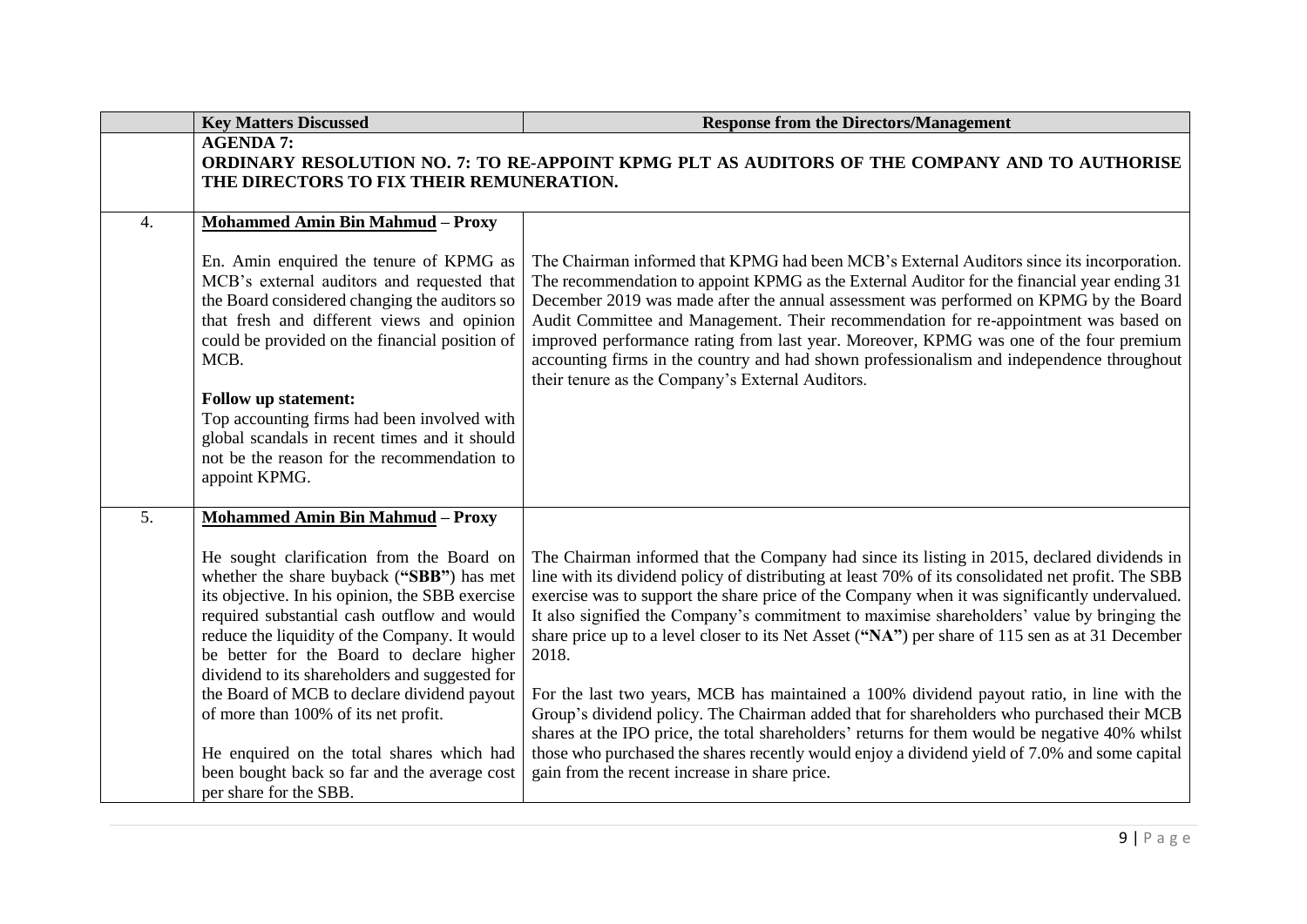|                  | <b>Key Matters Discussed</b>                                                                                                                                                                                                                                                                                                                                                                                                                                                                                                                                                                      | <b>Response from the Directors/Management</b>                                                                                                                                                                                                                                                                                                                                                                                                                                                                                                                                                                                                                                                                                                                                                                                                                                                                                                              |
|------------------|---------------------------------------------------------------------------------------------------------------------------------------------------------------------------------------------------------------------------------------------------------------------------------------------------------------------------------------------------------------------------------------------------------------------------------------------------------------------------------------------------------------------------------------------------------------------------------------------------|------------------------------------------------------------------------------------------------------------------------------------------------------------------------------------------------------------------------------------------------------------------------------------------------------------------------------------------------------------------------------------------------------------------------------------------------------------------------------------------------------------------------------------------------------------------------------------------------------------------------------------------------------------------------------------------------------------------------------------------------------------------------------------------------------------------------------------------------------------------------------------------------------------------------------------------------------------|
|                  | <b>AGENDA 7:</b><br>THE DIRECTORS TO FIX THEIR REMUNERATION.                                                                                                                                                                                                                                                                                                                                                                                                                                                                                                                                      | ORDINARY RESOLUTION NO. 7: TO RE-APPOINT KPMG PLT AS AUDITORS OF THE COMPANY AND TO AUTHORISE                                                                                                                                                                                                                                                                                                                                                                                                                                                                                                                                                                                                                                                                                                                                                                                                                                                              |
| $\overline{4}$ . | <b>Mohammed Amin Bin Mahmud - Proxy</b><br>En. Amin enquired the tenure of KPMG as<br>MCB's external auditors and requested that<br>the Board considered changing the auditors so<br>that fresh and different views and opinion<br>could be provided on the financial position of<br>MCB.<br><b>Follow up statement:</b><br>Top accounting firms had been involved with<br>global scandals in recent times and it should<br>not be the reason for the recommendation to<br>appoint KPMG.                                                                                                          | The Chairman informed that KPMG had been MCB's External Auditors since its incorporation.<br>The recommendation to appoint KPMG as the External Auditor for the financial year ending 31<br>December 2019 was made after the annual assessment was performed on KPMG by the Board<br>Audit Committee and Management. Their recommendation for re-appointment was based on<br>improved performance rating from last year. Moreover, KPMG was one of the four premium<br>accounting firms in the country and had shown professionalism and independence throughout<br>their tenure as the Company's External Auditors.                                                                                                                                                                                                                                                                                                                                       |
| 5 <sub>1</sub>   | <b>Mohammed Amin Bin Mahmud - Proxy</b><br>He sought clarification from the Board on<br>whether the share buyback ("SBB") has met<br>its objective. In his opinion, the SBB exercise<br>required substantial cash outflow and would<br>reduce the liquidity of the Company. It would<br>be better for the Board to declare higher<br>dividend to its shareholders and suggested for<br>the Board of MCB to declare dividend payout<br>of more than 100% of its net profit.<br>He enquired on the total shares which had<br>been bought back so far and the average cost<br>per share for the SBB. | The Chairman informed that the Company had since its listing in 2015, declared dividends in<br>line with its dividend policy of distributing at least 70% of its consolidated net profit. The SBB<br>exercise was to support the share price of the Company when it was significantly undervalued.<br>It also signified the Company's commitment to maximise shareholders' value by bringing the<br>share price up to a level closer to its Net Asset ("NA") per share of 115 sen as at 31 December<br>2018.<br>For the last two years, MCB has maintained a 100% dividend payout ratio, in line with the<br>Group's dividend policy. The Chairman added that for shareholders who purchased their MCB<br>shares at the IPO price, the total shareholders' returns for them would be negative 40% whilst<br>those who purchased the shares recently would enjoy a dividend yield of 7.0% and some capital<br>gain from the recent increase in share price. |